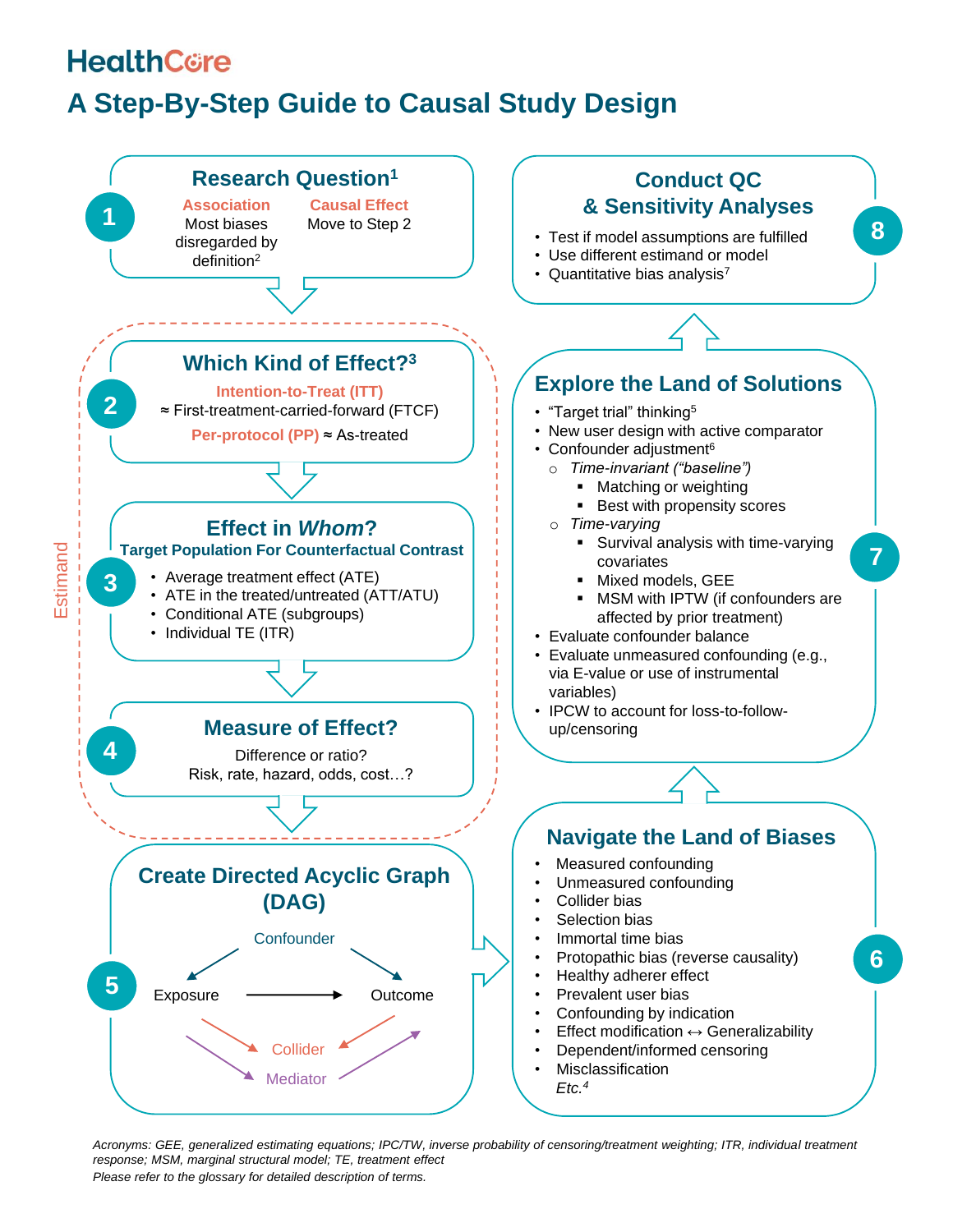## **HealthCore**

## **A Step-By-Step Guide to Causal Study Design**



*Please refer to the glossary for detailed description of terms. Acronyms: GEE, generalized estimating equations; IPC/TW, inverse probability of censoring/treatment weighting; ITR, individual treatment response; MSM, marginal structural model; TE, treatment effect*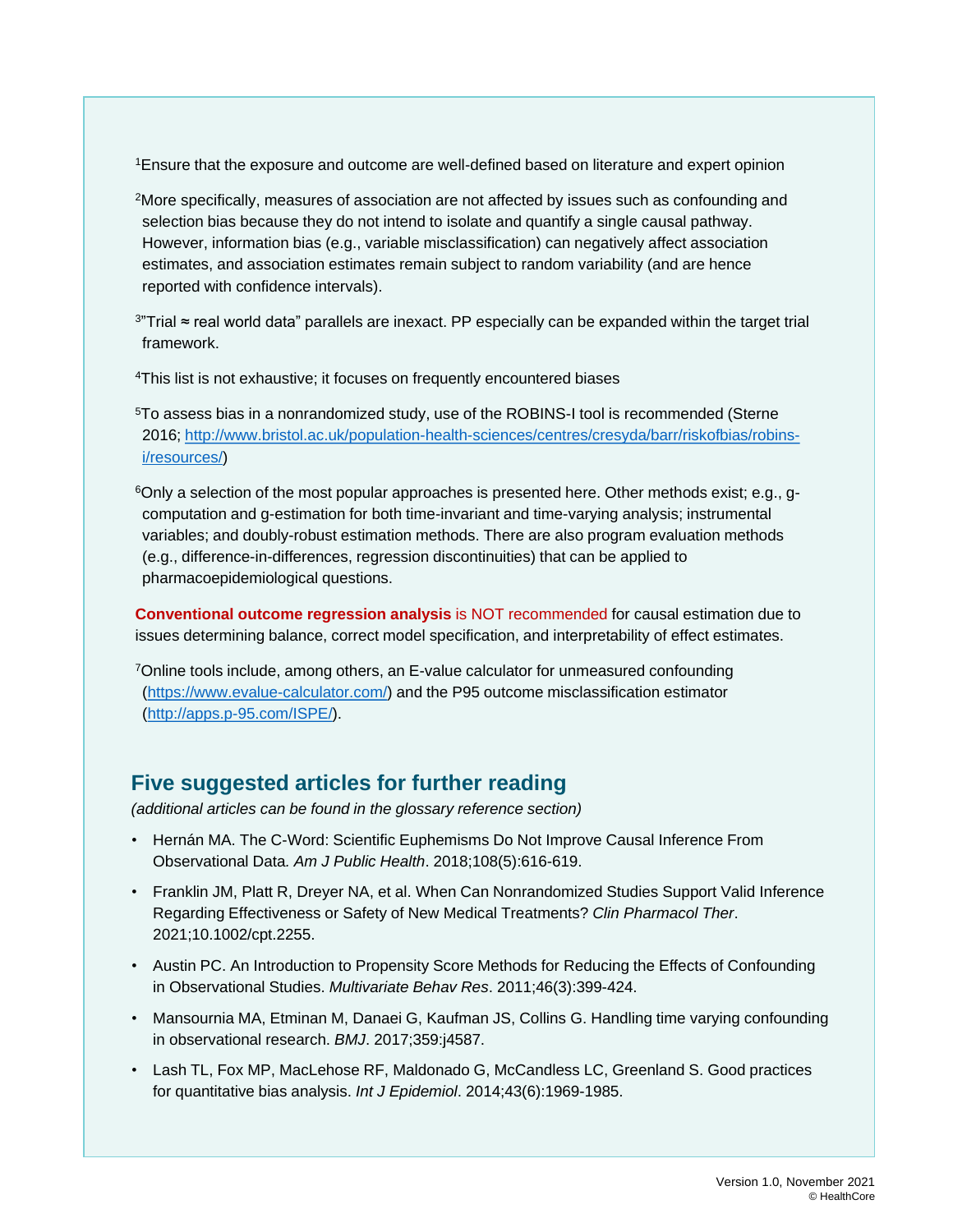<sup>1</sup>Ensure that the exposure and outcome are well-defined based on literature and expert opinion

- <sup>2</sup>More specifically, measures of association are not affected by issues such as confounding and selection bias because they do not intend to isolate and quantify a single causal pathway. However, information bias (e.g., variable misclassification) can negatively affect association estimates, and association estimates remain subject to random variability (and are hence reported with confidence intervals).
- <sup>3</sup>"Trial ≈ real world data" parallels are inexact. PP especially can be expanded within the target trial framework.
- <sup>4</sup>This list is not exhaustive; it focuses on frequently encountered biases
- <sup>5</sup>To assess bias in a nonrandomized study, use of the ROBINS-I tool is recommended (Sterne [2016; http://www.bristol.ac.uk/population-health-sciences/centres/cresyda/barr/riskofbias/robins](http://www.bristol.ac.uk/population-health-sciences/centres/cresyda/barr/riskofbias/robins-i/resources/)i/resources/)
- $6$ Only a selection of the most popular approaches is presented here. Other methods exist; e.g., gcomputation and g-estimation for both time-invariant and time-varying analysis; instrumental variables; and doubly-robust estimation methods. There are also program evaluation methods (e.g., difference-in-differences, regression discontinuities) that can be applied to pharmacoepidemiological questions.

**Conventional outcome regression analysis** is NOT recommended for causal estimation due to issues determining balance, correct model specification, and interpretability of effect estimates.

<sup>7</sup>Online tools include, among others, an E-value calculator for unmeasured confounding ([https://www.evalue-calculator.com/\)](https://www.evalue-calculator.com/) and the P95 outcome misclassification estimator ([http://apps.p-95.com/ISPE/\)](http://apps.p-95.com/ISPE/).

### **Five suggested articles for further reading**

*(additional articles can be found in the glossary reference section)*

- Hernán MA. The C-Word: Scientific Euphemisms Do Not Improve Causal Inference From Observational Data*. Am J Public Health*. 2018;108(5):616-619.
- Franklin JM, Platt R, Dreyer NA, et al. When Can Nonrandomized Studies Support Valid Inference Regarding Effectiveness or Safety of New Medical Treatments? *Clin Pharmacol Ther*. 2021;10.1002/cpt.2255.
- Austin PC. An Introduction to Propensity Score Methods for Reducing the Effects of Confounding in Observational Studies. *Multivariate Behav Res*. 2011;46(3):399-424.
- Mansournia MA, Etminan M, Danaei G, Kaufman JS, Collins G. Handling time varying confounding in observational research. *BMJ*. 2017;359:j4587.
- Lash TL, Fox MP, MacLehose RF, Maldonado G, McCandless LC, Greenland S. Good practices for quantitative bias analysis. *Int J Epidemiol*. 2014;43(6):1969-1985.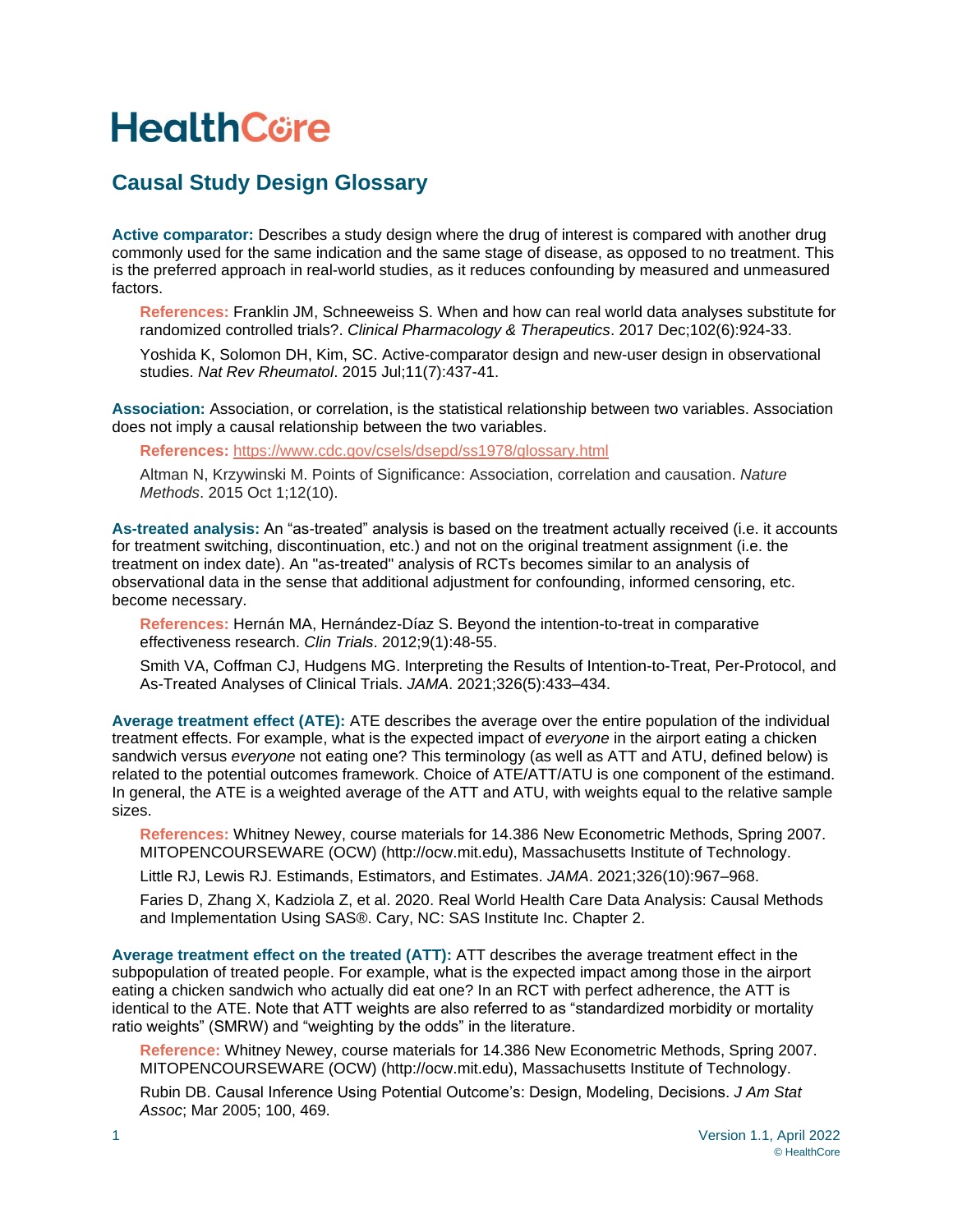# **HealthCore**

### **Causal Study Design Glossary**

**Active comparator:** Describes a study design where the drug of interest is compared with another drug commonly used for the same indication and the same stage of disease, as opposed to no treatment. This is the preferred approach in real-world studies, as it reduces confounding by measured and unmeasured factors.

**References:** Franklin JM, Schneeweiss S. When and how can real world data analyses substitute for randomized controlled trials?. *Clinical Pharmacology & Therapeutics*. 2017 Dec;102(6):924-33.

Yoshida K, Solomon DH, Kim, SC. Active-comparator design and new-user design in observational studies. *Nat Rev Rheumatol*. 2015 Jul;11(7):437-41.

**Association:** Association, or correlation, is the statistical relationship between two variables. Association does not imply a causal relationship between the two variables.

**References:** <https://www.cdc.gov/csels/dsepd/ss1978/glossary.html>

Altman N, Krzywinski M. Points of Significance: Association, correlation and causation. *Nature Methods*. 2015 Oct 1;12(10).

**As-treated analysis:** An "as-treated" analysis is based on the treatment actually received (i.e. it accounts for treatment switching, discontinuation, etc.) and not on the original treatment assignment (i.e. the treatment on index date). An "as-treated" analysis of RCTs becomes similar to an analysis of observational data in the sense that additional adjustment for confounding, informed censoring, etc. become necessary.

**References:** Hernán MA, Hernández-Díaz S. Beyond the intention-to-treat in comparative effectiveness research. *Clin Trials*. 2012;9(1):48-55.

Smith VA, Coffman CJ, Hudgens MG. Interpreting the Results of Intention-to-Treat, Per-Protocol, and As-Treated Analyses of Clinical Trials. *JAMA*. 2021;326(5):433–434.

**Average treatment effect (ATE):** ATE describes the average over the entire population of the individual treatment effects. For example, what is the expected impact of *everyone* in the airport eating a chicken sandwich versus *everyone* not eating one? This terminology (as well as ATT and ATU, defined below) is related to the potential outcomes framework. Choice of ATE/ATT/ATU is one component of the estimand. In general, the ATE is a weighted average of the ATT and ATU, with weights equal to the relative sample sizes.

**References:** Whitney Newey, course materials for 14.386 New Econometric Methods, Spring 2007. MITOPENCOURSEWARE (OCW) (http://ocw.mit.edu), Massachusetts Institute of Technology.

Little RJ, Lewis RJ. Estimands, Estimators, and Estimates. *JAMA*. 2021;326(10):967–968.

Faries D, Zhang X, Kadziola Z, et al. 2020. Real World Health Care Data Analysis: Causal Methods and Implementation Using SAS®. Cary, NC: SAS Institute Inc. Chapter 2.

**Average treatment effect on the treated (ATT):** ATT describes the average treatment effect in the subpopulation of treated people. For example, what is the expected impact among those in the airport eating a chicken sandwich who actually did eat one? In an RCT with perfect adherence, the ATT is identical to the ATE. Note that ATT weights are also referred to as "standardized morbidity or mortality ratio weights" (SMRW) and "weighting by the odds" in the literature.

**Reference:** Whitney Newey, course materials for 14.386 New Econometric Methods, Spring 2007. MITOPENCOURSEWARE (OCW) (http://ocw.mit.edu), Massachusetts Institute of Technology.

Rubin DB. Causal Inference Using Potential Outcome's: Design, Modeling, Decisions. *J Am Stat Assoc*; Mar 2005; 100, 469.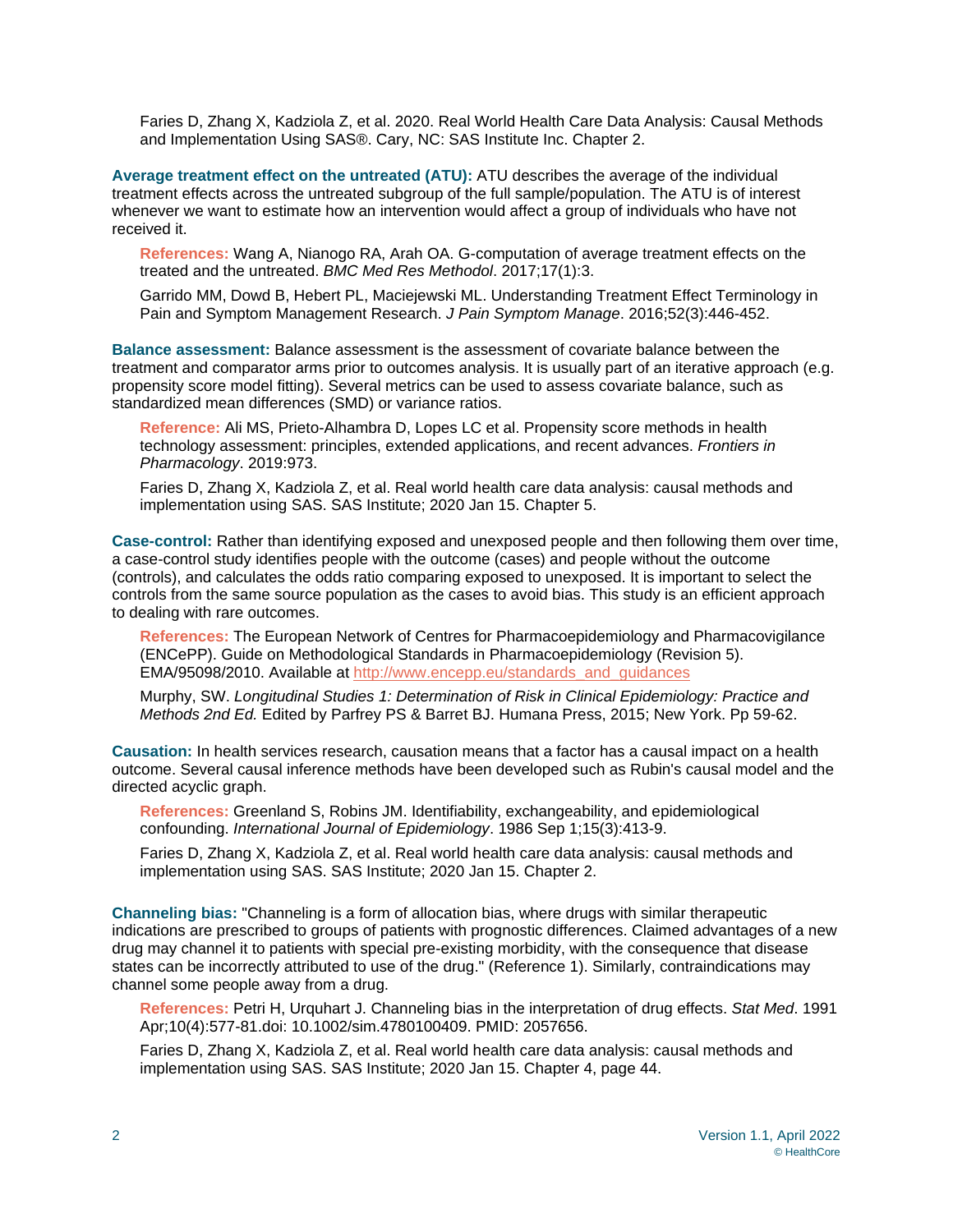Faries D, Zhang X, Kadziola Z, et al. 2020. Real World Health Care Data Analysis: Causal Methods and Implementation Using SAS®. Cary, NC: SAS Institute Inc. Chapter 2.

**Average treatment effect on the untreated (ATU):** ATU describes the average of the individual treatment effects across the untreated subgroup of the full sample/population. The ATU is of interest whenever we want to estimate how an intervention would affect a group of individuals who have not received it.

**References:** Wang A, Nianogo RA, Arah OA. G-computation of average treatment effects on the treated and the untreated. *BMC Med Res Methodol*. 2017;17(1):3.

Garrido MM, Dowd B, Hebert PL, Maciejewski ML. Understanding Treatment Effect Terminology in Pain and Symptom Management Research. *J Pain Symptom Manage*. 2016;52(3):446-452.

**Balance assessment:** Balance assessment is the assessment of covariate balance between the treatment and comparator arms prior to outcomes analysis. It is usually part of an iterative approach (e.g. propensity score model fitting). Several metrics can be used to assess covariate balance, such as standardized mean differences (SMD) or variance ratios.

**Reference:** Ali MS, Prieto-Alhambra D, Lopes LC et al. Propensity score methods in health technology assessment: principles, extended applications, and recent advances. *Frontiers in Pharmacology*. 2019:973.

Faries D, Zhang X, Kadziola Z, et al. Real world health care data analysis: causal methods and implementation using SAS. SAS Institute; 2020 Jan 15. Chapter 5.

**Case-control:** Rather than identifying exposed and unexposed people and then following them over time, a case-control study identifies people with the outcome (cases) and people without the outcome (controls), and calculates the odds ratio comparing exposed to unexposed. It is important to select the controls from the same source population as the cases to avoid bias. This study is an efficient approach to dealing with rare outcomes.

**References:** The European Network of Centres for Pharmacoepidemiology and Pharmacovigilance (ENCePP). Guide on Methodological Standards in Pharmacoepidemiology (Revision 5). EMA/95098/2010. Available at [http://www.encepp.eu/standards\\_and\\_guidances](http://www.encepp.eu/standards_and_guidances)

Murphy, SW. *Longitudinal Studies 1: Determination of Risk in Clinical Epidemiology: Practice and Methods 2nd Ed.* Edited by Parfrey PS & Barret BJ. Humana Press, 2015; New York. Pp 59-62.

**Causation:** In health services research, causation means that a factor has a causal impact on a health outcome. Several causal inference methods have been developed such as Rubin's causal model and the directed acyclic graph.

**References:** Greenland S, Robins JM. Identifiability, exchangeability, and epidemiological confounding. *International Journal of Epidemiology*. 1986 Sep 1;15(3):413-9.

Faries D, Zhang X, Kadziola Z, et al. Real world health care data analysis: causal methods and implementation using SAS. SAS Institute; 2020 Jan 15. Chapter 2.

**Channeling bias:** "Channeling is a form of allocation bias, where drugs with similar therapeutic indications are prescribed to groups of patients with prognostic differences. Claimed advantages of a new drug may channel it to patients with special pre-existing morbidity, with the consequence that disease states can be incorrectly attributed to use of the drug." (Reference 1). Similarly, contraindications may channel some people away from a drug.

**References:** Petri H, Urquhart J. Channeling bias in the interpretation of drug effects. *Stat Med*. 1991 Apr;10(4):577-81.doi: 10.1002/sim.4780100409. PMID: 2057656.

Faries D, Zhang X, Kadziola Z, et al. Real world health care data analysis: causal methods and implementation using SAS. SAS Institute; 2020 Jan 15. Chapter 4, page 44.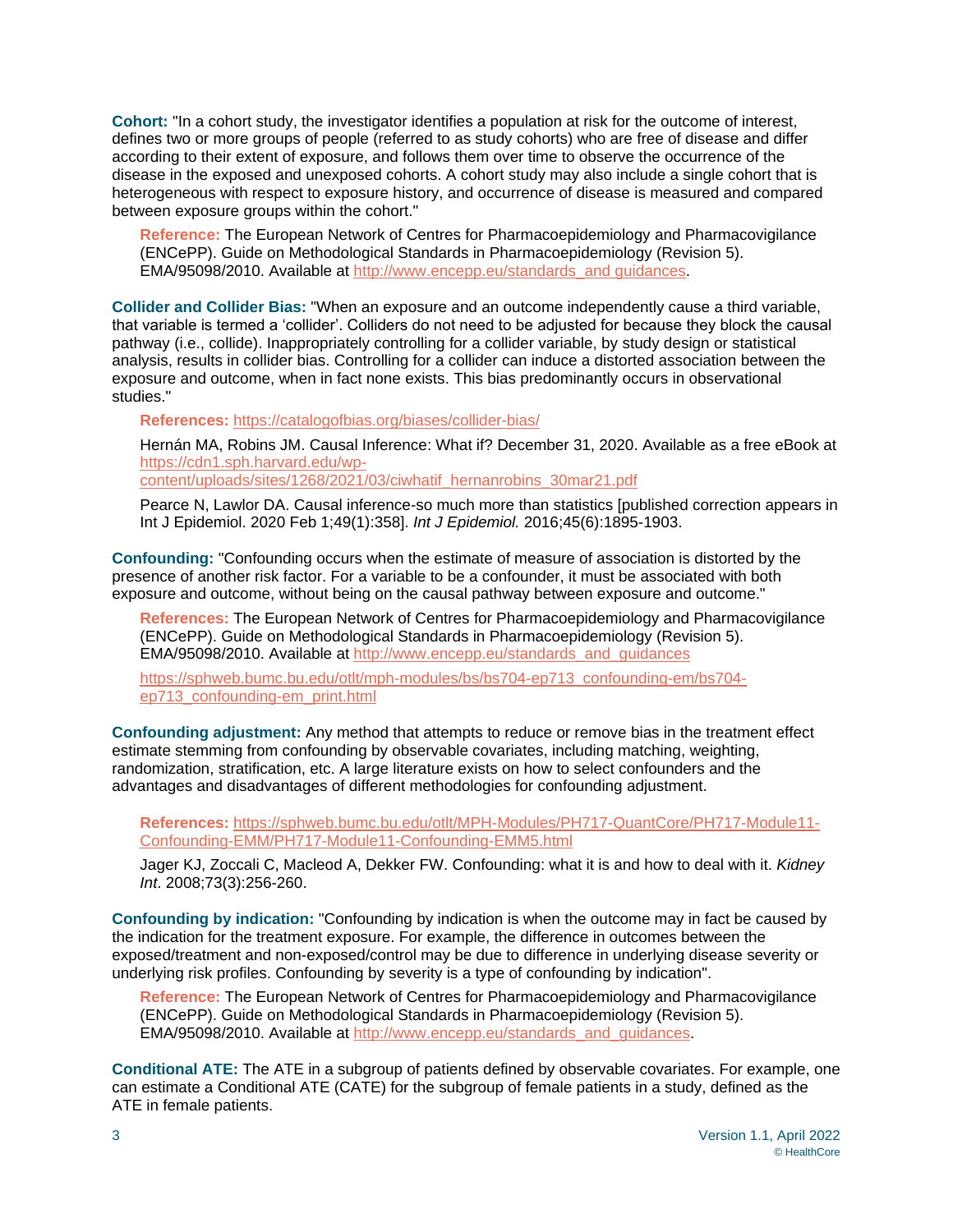**Cohort:** "In a cohort study, the investigator identifies a population at risk for the outcome of interest, defines two or more groups of people (referred to as study cohorts) who are free of disease and differ according to their extent of exposure, and follows them over time to observe the occurrence of the disease in the exposed and unexposed cohorts. A cohort study may also include a single cohort that is heterogeneous with respect to exposure history, and occurrence of disease is measured and compared between exposure groups within the cohort."

**Reference:** The European Network of Centres for Pharmacoepidemiology and Pharmacovigilance (ENCePP). Guide on Methodological Standards in Pharmacoepidemiology (Revision 5). EMA/95098/2010. Available at [http://www.encepp.eu/standards\\_and guidances.](http://www.encepp.eu/standards_and%20guidances)

**Collider and Collider Bias:** "When an exposure and an outcome independently cause a third variable, that variable is termed a 'collider'. Colliders do not need to be adjusted for because they block the causal pathway (i.e., collide). Inappropriately controlling for a collider variable, by study design or statistical analysis, results in collider bias. Controlling for a collider can induce a distorted association between the exposure and outcome, when in fact none exists. This bias predominantly occurs in observational studies."

**References:** <https://catalogofbias.org/biases/collider-bias/>

Hernán MA, Robins JM. Causal Inference: What if? December 31, 2020. Available as a free eBook at [https://cdn1.sph.harvard.edu/wp-](https://cdn1.sph.harvard.edu/wp-content/uploads/sites/1268/2021/03/ciwhatif_hernanrobins_30mar21.pdf)

[content/uploads/sites/1268/2021/03/ciwhatif\\_hernanrobins\\_30mar21.pdf](https://cdn1.sph.harvard.edu/wp-content/uploads/sites/1268/2021/03/ciwhatif_hernanrobins_30mar21.pdf)

Pearce N, Lawlor DA. Causal inference-so much more than statistics [published correction appears in Int J Epidemiol. 2020 Feb 1;49(1):358]. *Int J Epidemiol.* 2016;45(6):1895-1903.

**Confounding:** "Confounding occurs when the estimate of measure of association is distorted by the presence of another risk factor. For a variable to be a confounder, it must be associated with both exposure and outcome, without being on the causal pathway between exposure and outcome."

**References:** The European Network of Centres for Pharmacoepidemiology and Pharmacovigilance (ENCePP). Guide on Methodological Standards in Pharmacoepidemiology (Revision 5). EMA/95098/2010. Available at [http://www.encepp.eu/standards\\_and\\_guidances](http://www.encepp.eu/standards_and_guidances)

[https://sphweb.bumc.bu.edu/otlt/mph-modules/bs/bs704-ep713\\_confounding-em/bs704](https://sphweb.bumc.bu.edu/otlt/mph-modules/bs/bs704-ep713_confounding-em/bs704-ep713_confounding-em_print.html) [ep713\\_confounding-em\\_print.html](https://sphweb.bumc.bu.edu/otlt/mph-modules/bs/bs704-ep713_confounding-em/bs704-ep713_confounding-em_print.html)

**Confounding adjustment:** Any method that attempts to reduce or remove bias in the treatment effect estimate stemming from confounding by observable covariates, including matching, weighting, randomization, stratification, etc. A large literature exists on how to select confounders and the advantages and disadvantages of different methodologies for confounding adjustment.

**References:** [https://sphweb.bumc.bu.edu/otlt/MPH-Modules/PH717-QuantCore/PH717-Module11-](https://sphweb.bumc.bu.edu/otlt/MPH-Modules/PH717-QuantCore/PH717-Module11-Confounding-EMM/PH717-Module11-Confounding-EMM5.html) [Confounding-EMM/PH717-Module11-Confounding-EMM5.html](https://sphweb.bumc.bu.edu/otlt/MPH-Modules/PH717-QuantCore/PH717-Module11-Confounding-EMM/PH717-Module11-Confounding-EMM5.html)

Jager KJ, Zoccali C, Macleod A, Dekker FW. Confounding: what it is and how to deal with it. *Kidney Int*. 2008;73(3):256-260.

**Confounding by indication:** "Confounding by indication is when the outcome may in fact be caused by the indication for the treatment exposure. For example, the difference in outcomes between the exposed/treatment and non-exposed/control may be due to difference in underlying disease severity or underlying risk profiles. Confounding by severity is a type of confounding by indication".

**Reference:** The European Network of Centres for Pharmacoepidemiology and Pharmacovigilance (ENCePP). Guide on Methodological Standards in Pharmacoepidemiology (Revision 5). EMA/95098/2010. Available at [http://www.encepp.eu/standards\\_and\\_guidances.](http://www.encepp.eu/standards_and_guidances)

**Conditional ATE:** The ATE in a subgroup of patients defined by observable covariates. For example, one can estimate a Conditional ATE (CATE) for the subgroup of female patients in a study, defined as the ATE in female patients.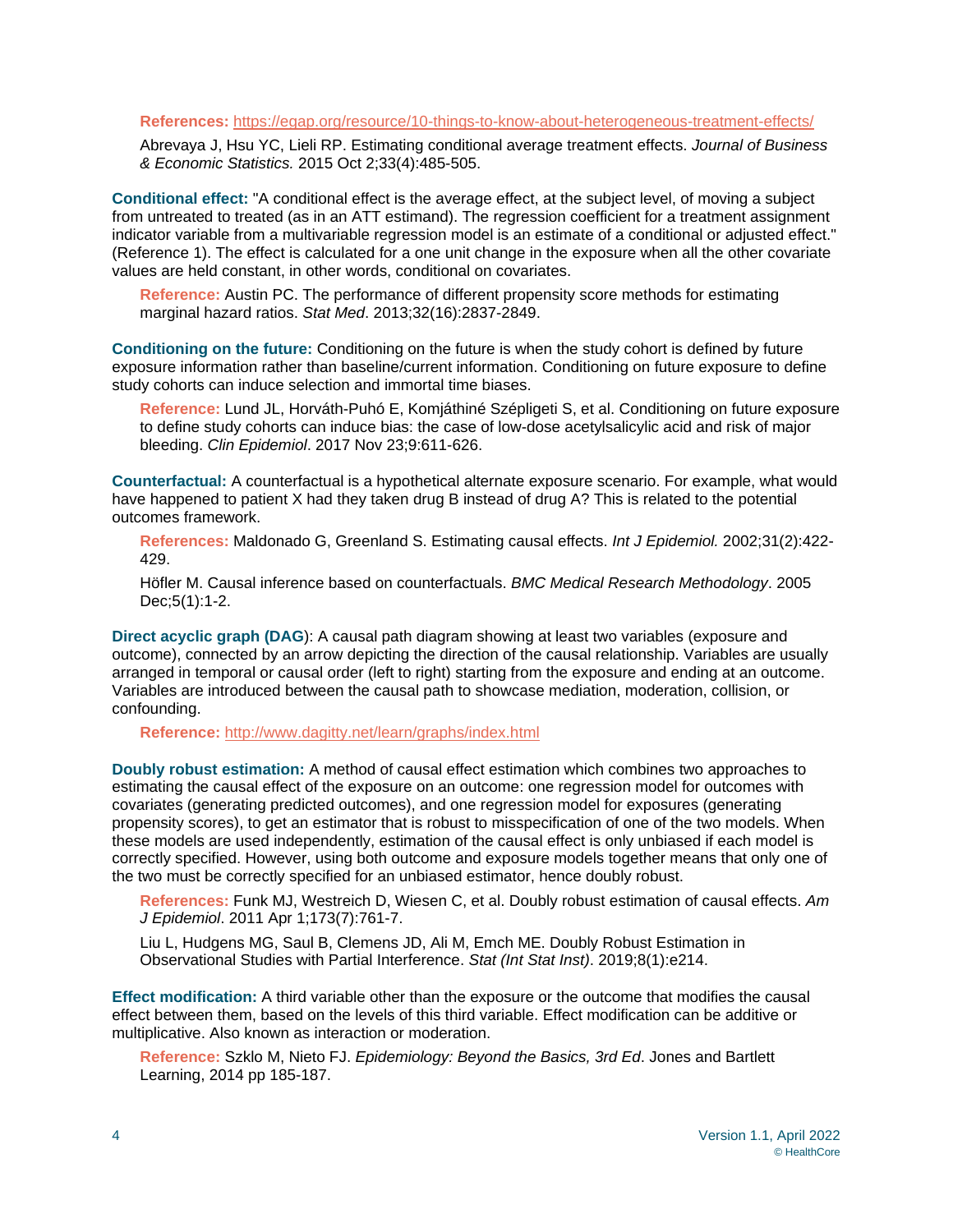#### **References:** <https://egap.org/resource/10-things-to-know-about-heterogeneous-treatment-effects/>

Abrevaya J, Hsu YC, Lieli RP. Estimating conditional average treatment effects. *Journal of Business & Economic Statistics.* 2015 Oct 2;33(4):485-505.

**Conditional effect:** "A conditional effect is the average effect, at the subject level, of moving a subject from untreated to treated (as in an ATT estimand). The regression coefficient for a treatment assignment indicator variable from a multivariable regression model is an estimate of a conditional or adjusted effect." (Reference 1). The effect is calculated for a one unit change in the exposure when all the other covariate values are held constant, in other words, conditional on covariates.

**Reference:** Austin PC. The performance of different propensity score methods for estimating marginal hazard ratios. *Stat Med*. 2013;32(16):2837-2849.

**Conditioning on the future:** Conditioning on the future is when the study cohort is defined by future exposure information rather than baseline/current information. Conditioning on future exposure to define study cohorts can induce selection and immortal time biases.

**Reference:** Lund JL, Horváth-Puhó E, Komjáthiné Szépligeti S, et al. Conditioning on future exposure to define study cohorts can induce bias: the case of low-dose acetylsalicylic acid and risk of major bleeding. *Clin Epidemiol*. 2017 Nov 23;9:611-626.

**Counterfactual:** A counterfactual is a hypothetical alternate exposure scenario. For example, what would have happened to patient X had they taken drug B instead of drug A? This is related to the potential outcomes framework.

**References:** Maldonado G, Greenland S. Estimating causal effects. *Int J Epidemiol.* 2002;31(2):422- 429.

Höfler M. Causal inference based on counterfactuals. *BMC Medical Research Methodology*. 2005 Dec;5(1):1-2.

**Direct acyclic graph (DAG**): A causal path diagram showing at least two variables (exposure and outcome), connected by an arrow depicting the direction of the causal relationship. Variables are usually arranged in temporal or causal order (left to right) starting from the exposure and ending at an outcome. Variables are introduced between the causal path to showcase mediation, moderation, collision, or confounding.

**Reference:** <http://www.dagitty.net/learn/graphs/index.html>

**Doubly robust estimation:** A method of causal effect estimation which combines two approaches to estimating the causal effect of the exposure on an outcome: one regression model for outcomes with covariates (generating predicted outcomes), and one regression model for exposures (generating propensity scores), to get an estimator that is robust to misspecification of one of the two models. When these models are used independently, estimation of the causal effect is only unbiased if each model is correctly specified. However, using both outcome and exposure models together means that only one of the two must be correctly specified for an unbiased estimator, hence doubly robust.

**References:** Funk MJ, Westreich D, Wiesen C, et al. Doubly robust estimation of causal effects. *Am J Epidemiol*. 2011 Apr 1;173(7):761-7.

Liu L, Hudgens MG, Saul B, Clemens JD, Ali M, Emch ME. Doubly Robust Estimation in Observational Studies with Partial Interference. *Stat (Int Stat Inst)*. 2019;8(1):e214.

**Effect modification:** A third variable other than the exposure or the outcome that modifies the causal effect between them, based on the levels of this third variable. Effect modification can be additive or multiplicative. Also known as interaction or moderation.

**Reference:** Szklo M, Nieto FJ. *Epidemiology: Beyond the Basics, 3rd Ed*. Jones and Bartlett Learning, 2014 pp 185-187.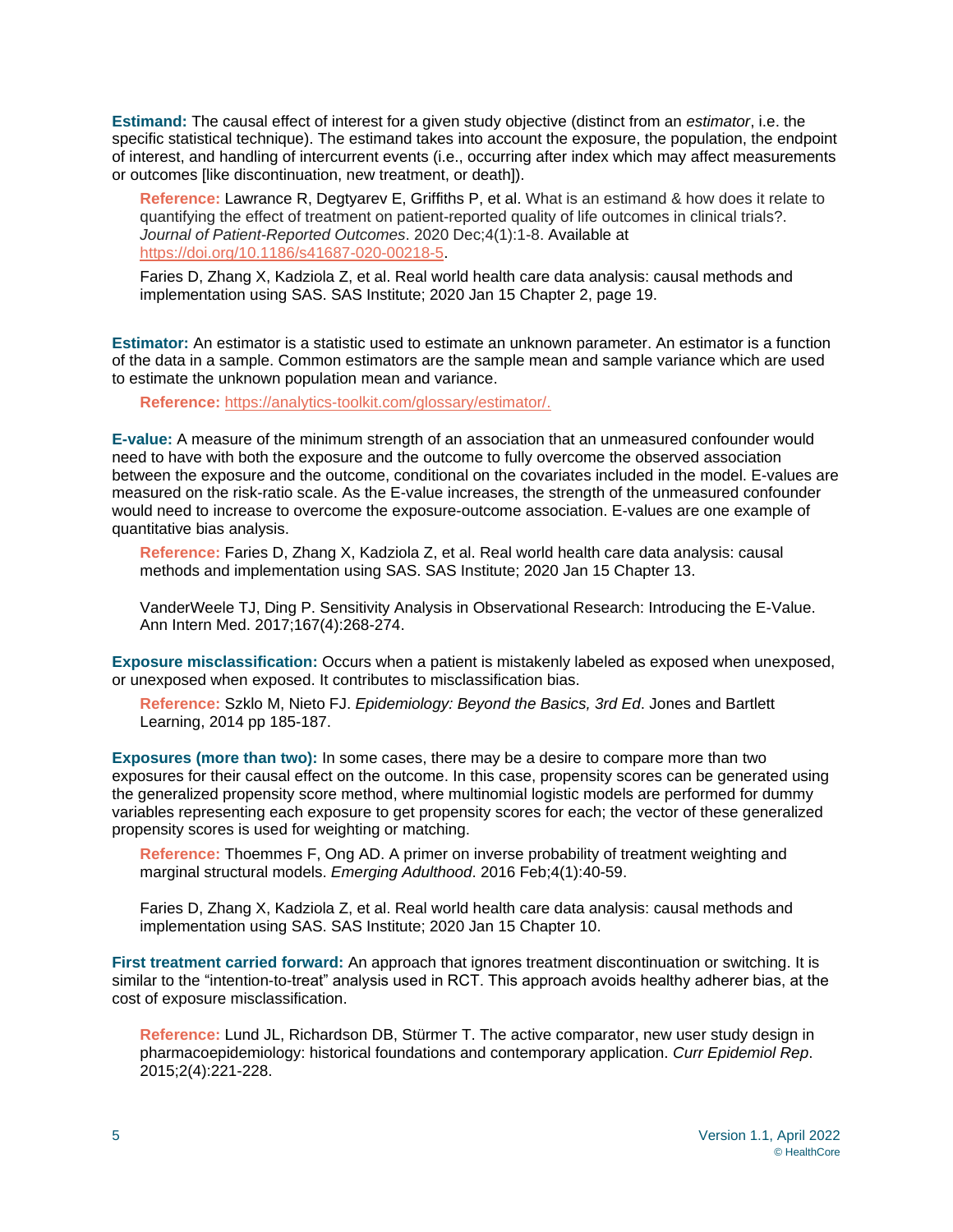**Estimand:** The causal effect of interest for a given study objective (distinct from an *estimator*, i.e. the specific statistical technique). The estimand takes into account the exposure, the population, the endpoint of interest, and handling of intercurrent events (i.e., occurring after index which may affect measurements or outcomes [like discontinuation, new treatment, or death]).

**Reference:** Lawrance R, Degtyarev E, Griffiths P, et al. What is an estimand & how does it relate to quantifying the effect of treatment on patient-reported quality of life outcomes in clinical trials?. *Journal of Patient-Reported Outcomes*. 2020 Dec;4(1):1-8. Available at [https://doi.org/10.1186/s41687-020-00218-5.](https://doi.org/10.1186/s41687-020-00218-5)

Faries D, Zhang X, Kadziola Z, et al. Real world health care data analysis: causal methods and implementation using SAS. SAS Institute; 2020 Jan 15 Chapter 2, page 19.

**Estimator:** An estimator is a statistic used to estimate an unknown parameter. An estimator is a function of the data in a sample. Common estimators are the sample mean and sample variance which are used to estimate the unknown population mean and variance.

**Reference:** [https://analytics-toolkit.com/glossary/estimator/.](https://analytics-toolkit.com/glossary/estimator/)

**E-value:** A measure of the minimum strength of an association that an unmeasured confounder would need to have with both the exposure and the outcome to fully overcome the observed association between the exposure and the outcome, conditional on the covariates included in the model. E-values are measured on the risk-ratio scale. As the E-value increases, the strength of the unmeasured confounder would need to increase to overcome the exposure-outcome association. E-values are one example of quantitative bias analysis.

**Reference:** Faries D, Zhang X, Kadziola Z, et al. Real world health care data analysis: causal methods and implementation using SAS. SAS Institute; 2020 Jan 15 Chapter 13.

VanderWeele TJ, Ding P. Sensitivity Analysis in Observational Research: Introducing the E-Value. Ann Intern Med. 2017;167(4):268-274.

**Exposure misclassification:** Occurs when a patient is mistakenly labeled as exposed when unexposed, or unexposed when exposed. It contributes to misclassification bias.

**Reference:** Szklo M, Nieto FJ. *Epidemiology: Beyond the Basics, 3rd Ed*. Jones and Bartlett Learning, 2014 pp 185-187.

**Exposures (more than two):** In some cases, there may be a desire to compare more than two exposures for their causal effect on the outcome. In this case, propensity scores can be generated using the generalized propensity score method, where multinomial logistic models are performed for dummy variables representing each exposure to get propensity scores for each; the vector of these generalized propensity scores is used for weighting or matching.

**Reference:** Thoemmes F, Ong AD. A primer on inverse probability of treatment weighting and marginal structural models. *Emerging Adulthood*. 2016 Feb;4(1):40-59.

Faries D, Zhang X, Kadziola Z, et al. Real world health care data analysis: causal methods and implementation using SAS. SAS Institute; 2020 Jan 15 Chapter 10.

**First treatment carried forward:** An approach that ignores treatment discontinuation or switching. It is similar to the "intention-to-treat" analysis used in RCT. This approach avoids healthy adherer bias, at the cost of exposure misclassification.

**Reference:** Lund JL, Richardson DB, Stürmer T. The active comparator, new user study design in pharmacoepidemiology: historical foundations and contemporary application. *Curr Epidemiol Rep*. 2015;2(4):221-228.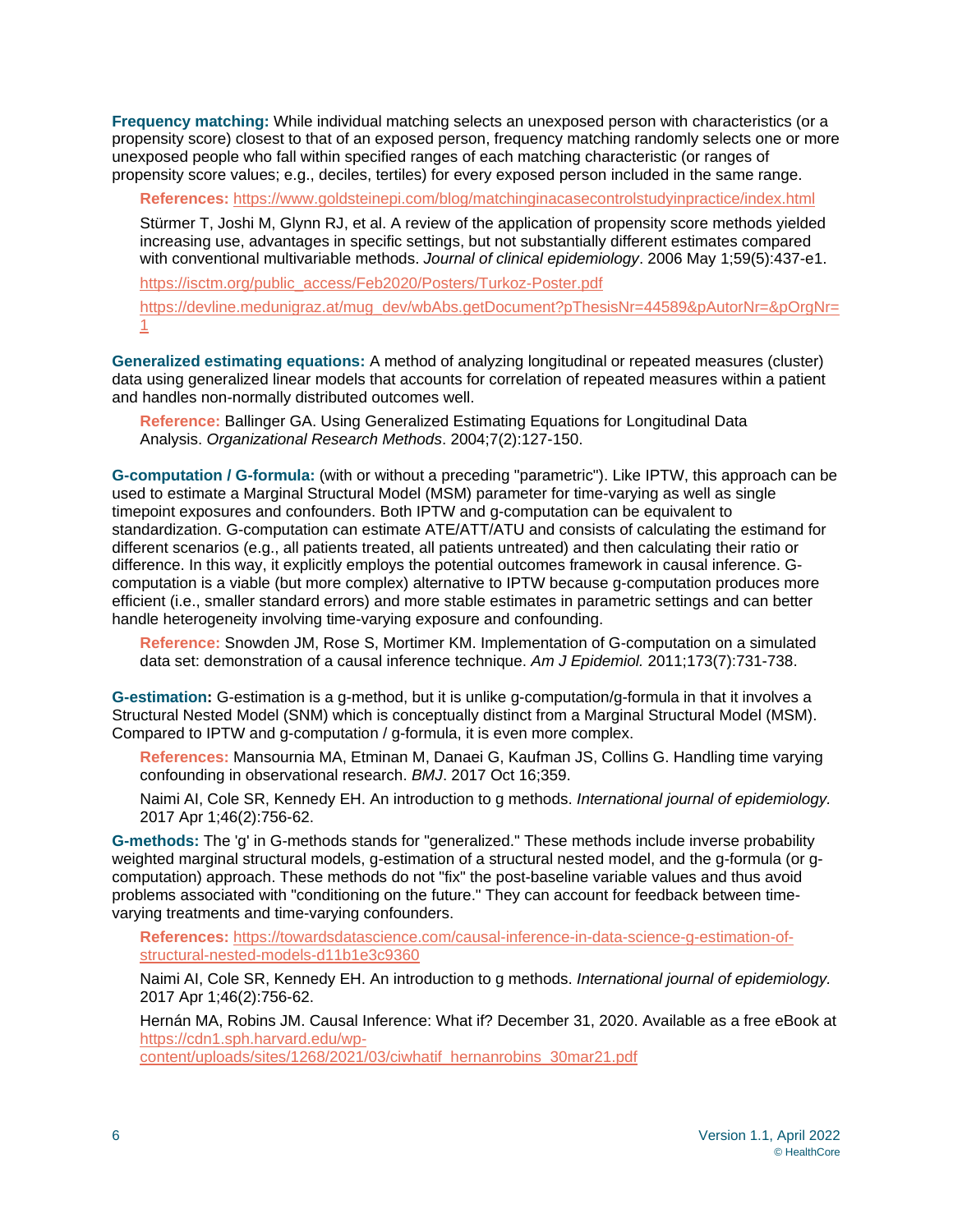**Frequency matching:** While individual matching selects an unexposed person with characteristics (or a propensity score) closest to that of an exposed person, frequency matching randomly selects one or more unexposed people who fall within specified ranges of each matching characteristic (or ranges of propensity score values; e.g., deciles, tertiles) for every exposed person included in the same range.

**References:** <https://www.goldsteinepi.com/blog/matchinginacasecontrolstudyinpractice/index.html>

Stürmer T, Joshi M, Glynn RJ, et al. A review of the application of propensity score methods yielded increasing use, advantages in specific settings, but not substantially different estimates compared with conventional multivariable methods. *Journal of clinical epidemiology*. 2006 May 1;59(5):437-e1.

[https://isctm.org/public\\_access/Feb2020/Posters/Turkoz-Poster.pdf](https://isctm.org/public_access/Feb2020/Posters/Turkoz-Poster.pdf) [https://devline.medunigraz.at/mug\\_dev/wbAbs.getDocument?pThesisNr=44589&pAutorNr=&pOrgNr=](https://devline.medunigraz.at/mug_dev/wbAbs.getDocument?pThesisNr=44589&pAutorNr=&pOrgNr=1) [1](https://devline.medunigraz.at/mug_dev/wbAbs.getDocument?pThesisNr=44589&pAutorNr=&pOrgNr=1)

**Generalized estimating equations:** A method of analyzing longitudinal or repeated measures (cluster) data using generalized linear models that accounts for correlation of repeated measures within a patient and handles non-normally distributed outcomes well.

**Reference:** Ballinger GA. Using Generalized Estimating Equations for Longitudinal Data Analysis. *Organizational Research Methods*. 2004;7(2):127-150.

**G-computation / G-formula:** (with or without a preceding "parametric"). Like IPTW, this approach can be used to estimate a Marginal Structural Model (MSM) parameter for time-varying as well as single timepoint exposures and confounders. Both IPTW and g-computation can be equivalent to standardization. G-computation can estimate ATE/ATT/ATU and consists of calculating the estimand for different scenarios (e.g., all patients treated, all patients untreated) and then calculating their ratio or difference. In this way, it explicitly employs the potential outcomes framework in causal inference. Gcomputation is a viable (but more complex) alternative to IPTW because g-computation produces more efficient (i.e., smaller standard errors) and more stable estimates in parametric settings and can better handle heterogeneity involving time-varying exposure and confounding.

**Reference:** Snowden JM, Rose S, Mortimer KM. Implementation of G-computation on a simulated data set: demonstration of a causal inference technique. *Am J Epidemiol.* 2011;173(7):731-738.

**G-estimation:** G-estimation is a g-method, but it is unlike g-computation/g-formula in that it involves a Structural Nested Model (SNM) which is conceptually distinct from a Marginal Structural Model (MSM). Compared to IPTW and g-computation / g-formula, it is even more complex.

**References:** Mansournia MA, Etminan M, Danaei G, Kaufman JS, Collins G. Handling time varying confounding in observational research. *BMJ*. 2017 Oct 16;359.

Naimi AI, Cole SR, Kennedy EH. An introduction to g methods. *International journal of epidemiology.* 2017 Apr 1;46(2):756-62.

**G-methods:** The 'g' in G-methods stands for "generalized." These methods include inverse probability weighted marginal structural models, g-estimation of a structural nested model, and the g-formula (or gcomputation) approach. These methods do not "fix" the post-baseline variable values and thus avoid problems associated with "conditioning on the future." They can account for feedback between timevarying treatments and time-varying confounders.

**References:** [https://towardsdatascience.com/causal-inference-in-data-science-g-estimation-of](https://towardsdatascience.com/causal-inference-in-data-science-g-estimation-of-structural-nested-models-d11b1e3c9360)[structural-nested-models-d11b1e3c9360](https://towardsdatascience.com/causal-inference-in-data-science-g-estimation-of-structural-nested-models-d11b1e3c9360)

Naimi AI, Cole SR, Kennedy EH. An introduction to g methods. *International journal of epidemiology.* 2017 Apr 1;46(2):756-62.

Hernán MA, Robins JM. Causal Inference: What if? December 31, 2020. Available as a free eBook at [https://cdn1.sph.harvard.edu/wp-](https://cdn1.sph.harvard.edu/wp-content/uploads/sites/1268/2021/03/ciwhatif_hernanrobins_30mar21.pdf)

[content/uploads/sites/1268/2021/03/ciwhatif\\_hernanrobins\\_30mar21.pdf](https://cdn1.sph.harvard.edu/wp-content/uploads/sites/1268/2021/03/ciwhatif_hernanrobins_30mar21.pdf)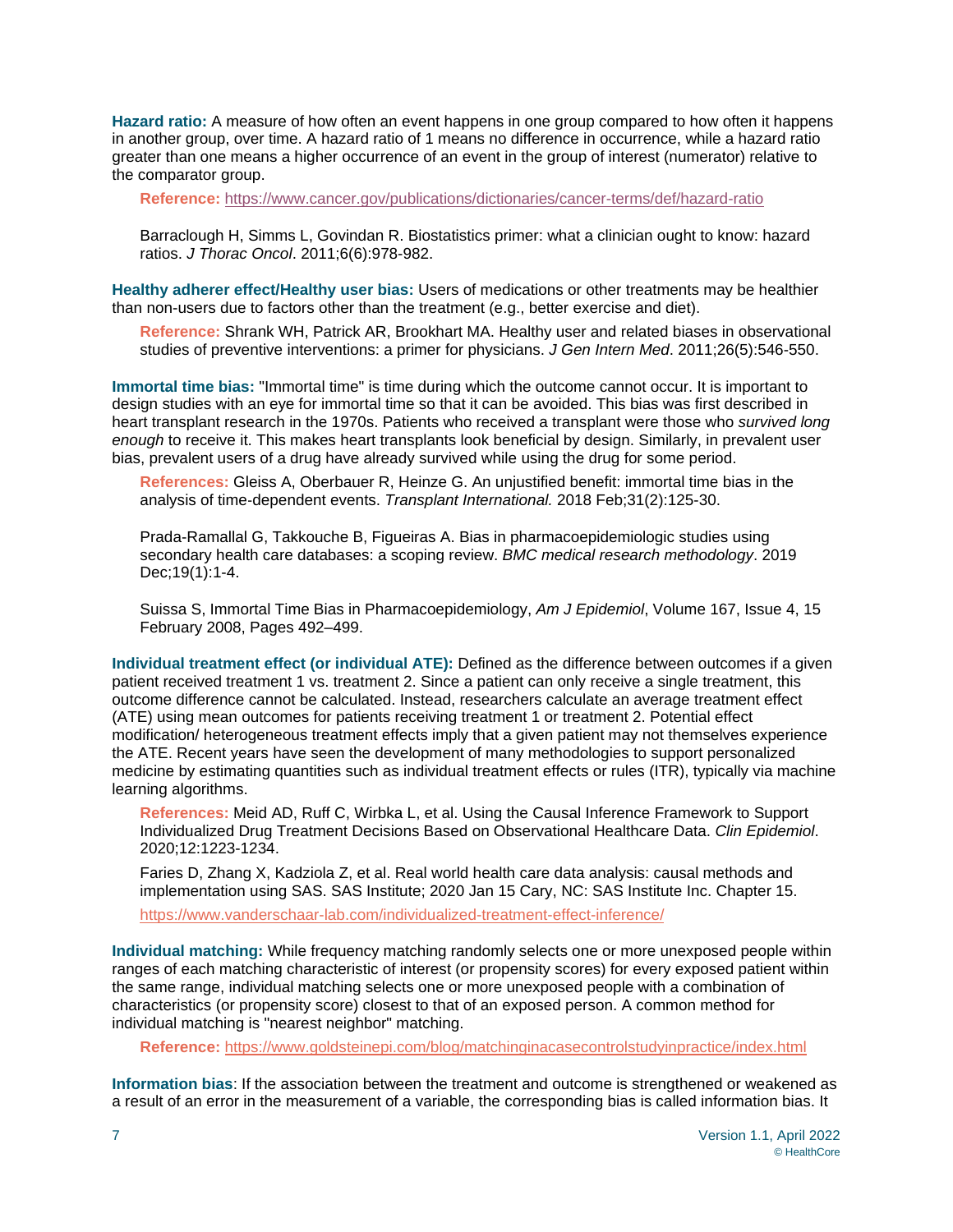**Hazard ratio:** A measure of how often an event happens in one group compared to how often it happens in another group, over time. A hazard ratio of 1 means no difference in occurrence, while a hazard ratio greater than one means a higher occurrence of an event in the group of interest (numerator) relative to the comparator group.

**Reference:** <https://www.cancer.gov/publications/dictionaries/cancer-terms/def/hazard-ratio>

Barraclough H, Simms L, Govindan R. Biostatistics primer: what a clinician ought to know: hazard ratios. *J Thorac Oncol*. 2011;6(6):978-982.

**Healthy adherer effect/Healthy user bias:** Users of medications or other treatments may be healthier than non-users due to factors other than the treatment (e.g., better exercise and diet).

**Reference:** Shrank WH, Patrick AR, Brookhart MA. Healthy user and related biases in observational studies of preventive interventions: a primer for physicians. *J Gen Intern Med*. 2011;26(5):546-550.

**Immortal time bias:** "Immortal time" is time during which the outcome cannot occur. It is important to design studies with an eye for immortal time so that it can be avoided. This bias was first described in heart transplant research in the 1970s. Patients who received a transplant were those who *survived long enough* to receive it. This makes heart transplants look beneficial by design. Similarly, in prevalent user bias, prevalent users of a drug have already survived while using the drug for some period.

**References:** Gleiss A, Oberbauer R, Heinze G. An unjustified benefit: immortal time bias in the analysis of time‐dependent events. *Transplant International.* 2018 Feb;31(2):125-30.

Prada-Ramallal G, Takkouche B, Figueiras A. Bias in pharmacoepidemiologic studies using secondary health care databases: a scoping review. *BMC medical research methodology*. 2019 Dec;19(1):1-4.

Suissa S, Immortal Time Bias in Pharmacoepidemiology, *Am J Epidemiol*, Volume 167, Issue 4, 15 February 2008, Pages 492–499.

**Individual treatment effect (or individual ATE):** Defined as the difference between outcomes if a given patient received treatment 1 vs. treatment 2. Since a patient can only receive a single treatment, this outcome difference cannot be calculated. Instead, researchers calculate an average treatment effect (ATE) using mean outcomes for patients receiving treatment 1 or treatment 2. Potential effect modification/ heterogeneous treatment effects imply that a given patient may not themselves experience the ATE. Recent years have seen the development of many methodologies to support personalized medicine by estimating quantities such as individual treatment effects or rules (ITR), typically via machine learning algorithms.

**References:** Meid AD, Ruff C, Wirbka L, et al. Using the Causal Inference Framework to Support Individualized Drug Treatment Decisions Based on Observational Healthcare Data. *Clin Epidemiol*. 2020;12:1223-1234.

Faries D, Zhang X, Kadziola Z, et al. Real world health care data analysis: causal methods and implementation using SAS. SAS Institute; 2020 Jan 15 Cary, NC: SAS Institute Inc. Chapter 15.

<https://www.vanderschaar-lab.com/individualized-treatment-effect-inference/>

**Individual matching:** While frequency matching randomly selects one or more unexposed people within ranges of each matching characteristic of interest (or propensity scores) for every exposed patient within the same range, individual matching selects one or more unexposed people with a combination of characteristics (or propensity score) closest to that of an exposed person. A common method for individual matching is "nearest neighbor" matching.

**Reference:** <https://www.goldsteinepi.com/blog/matchinginacasecontrolstudyinpractice/index.html>

**Information bias**: If the association between the treatment and outcome is strengthened or weakened as a result of an error in the measurement of a variable, the corresponding bias is called information bias. It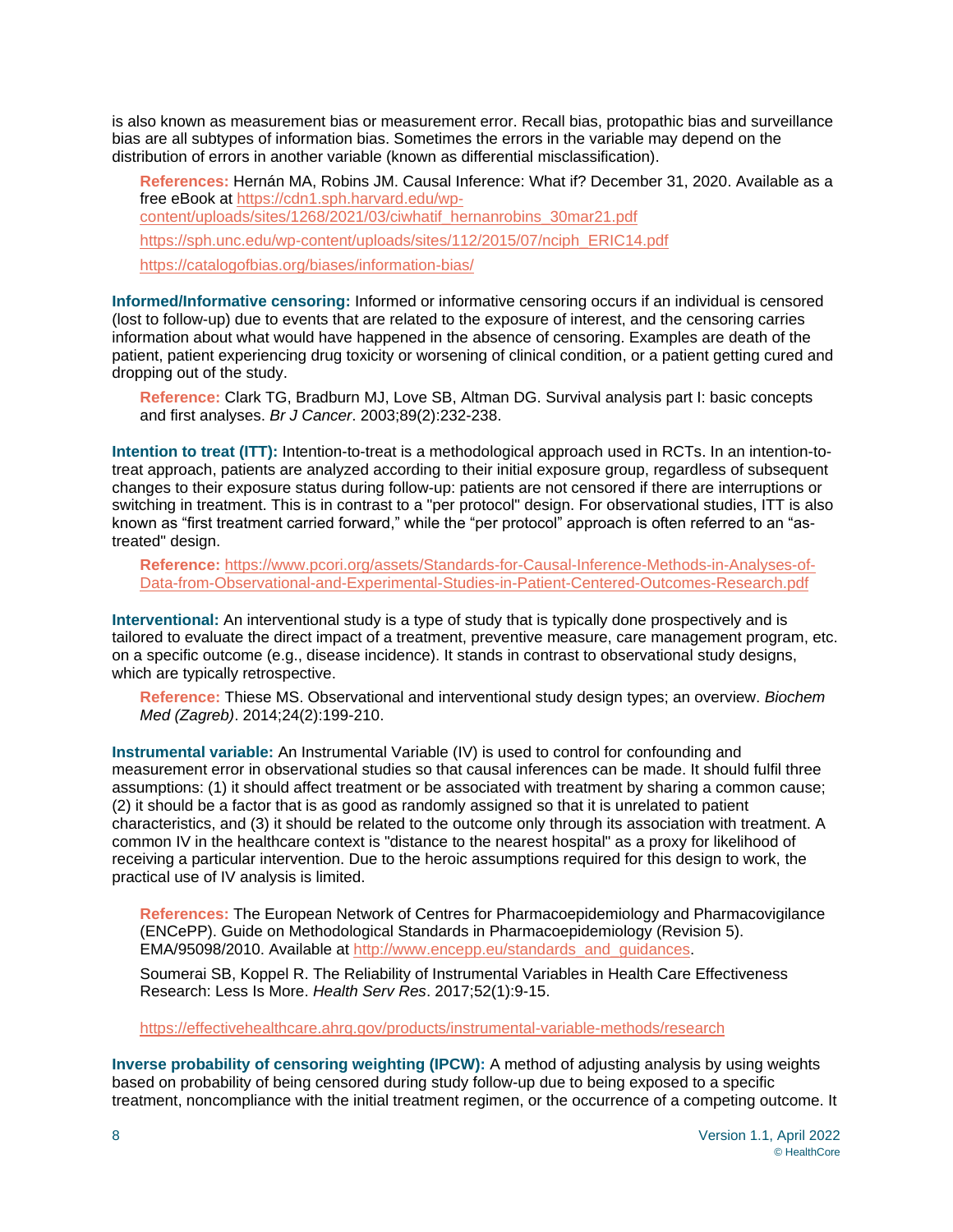is also known as measurement bias or measurement error. Recall bias, protopathic bias and surveillance bias are all subtypes of information bias. Sometimes the errors in the variable may depend on the distribution of errors in another variable (known as differential misclassification).

**References:** Hernán MA, Robins JM. Causal Inference: What if? December 31, 2020. Available as a free eBook at [https://cdn1.sph.harvard.edu/wp](https://cdn1.sph.harvard.edu/wp-content/uploads/sites/1268/2021/03/ciwhatif_hernanrobins_30mar21.pdf)[content/uploads/sites/1268/2021/03/ciwhatif\\_hernanrobins\\_30mar21.pdf](https://cdn1.sph.harvard.edu/wp-content/uploads/sites/1268/2021/03/ciwhatif_hernanrobins_30mar21.pdf) [https://sph.unc.edu/wp-content/uploads/sites/112/2015/07/nciph\\_ERIC14.pdf](https://sph.unc.edu/wp-content/uploads/sites/112/2015/07/nciph_ERIC14.pdf) https://catalogofbias.org/biases/information-bias/

**Informed/Informative censoring:** Informed or informative censoring occurs if an individual is censored (lost to follow-up) due to events that are related to the exposure of interest, and the censoring carries information about what would have happened in the absence of censoring. Examples are death of the patient, patient experiencing drug toxicity or worsening of clinical condition, or a patient getting cured and dropping out of the study.

**Reference:** Clark TG, Bradburn MJ, Love SB, Altman DG. Survival analysis part I: basic concepts and first analyses. *Br J Cancer*. 2003;89(2):232-238.

**Intention to treat (ITT):** Intention-to-treat is a methodological approach used in RCTs. In an intention-totreat approach, patients are analyzed according to their initial exposure group, regardless of subsequent changes to their exposure status during follow-up: patients are not censored if there are interruptions or switching in treatment. This is in contrast to a "per protocol" design. For observational studies, ITT is also known as "first treatment carried forward," while the "per protocol" approach is often referred to an "astreated" design.

**Reference:** [https://www.pcori.org/assets/Standards-for-Causal-Inference-Methods-in-Analyses-of-](https://www.pcori.org/assets/Standards-for-Causal-Inference-Methods-in-Analyses-of-Data-from-Observational-and-Experimental-Studies-in-Patient-Centered-Outcomes-Research.pdf)[Data-from-Observational-and-Experimental-Studies-in-Patient-Centered-Outcomes-Research.pdf](https://www.pcori.org/assets/Standards-for-Causal-Inference-Methods-in-Analyses-of-Data-from-Observational-and-Experimental-Studies-in-Patient-Centered-Outcomes-Research.pdf)

**Interventional:** An interventional study is a type of study that is typically done prospectively and is tailored to evaluate the direct impact of a treatment, preventive measure, care management program, etc. on a specific outcome (e.g., disease incidence). It stands in contrast to observational study designs, which are typically retrospective.

**Reference:** Thiese MS. Observational and interventional study design types; an overview. *Biochem Med (Zagreb)*. 2014;24(2):199-210.

**Instrumental variable:** An Instrumental Variable (IV) is used to control for confounding and measurement error in observational studies so that causal inferences can be made. It should fulfil three assumptions: (1) it should affect treatment or be associated with treatment by sharing a common cause; (2) it should be a factor that is as good as randomly assigned so that it is unrelated to patient characteristics, and (3) it should be related to the outcome only through its association with treatment. A common IV in the healthcare context is "distance to the nearest hospital" as a proxy for likelihood of receiving a particular intervention. Due to the heroic assumptions required for this design to work, the practical use of IV analysis is limited.

**References:** The European Network of Centres for Pharmacoepidemiology and Pharmacovigilance (ENCePP). Guide on Methodological Standards in Pharmacoepidemiology (Revision 5). EMA/95098/2010. Available at [http://www.encepp.eu/standards\\_and\\_guidances.](http://www.encepp.eu/standards_and_guidances)

Soumerai SB, Koppel R. The Reliability of Instrumental Variables in Health Care Effectiveness Research: Less Is More. *Health Serv Res*. 2017;52(1):9-15.

<https://effectivehealthcare.ahrq.gov/products/instrumental-variable-methods/research>

**Inverse probability of censoring weighting (IPCW):** A method of adjusting analysis by using weights based on probability of being censored during study follow-up due to being exposed to a specific treatment, noncompliance with the initial treatment regimen, or the occurrence of a competing outcome. It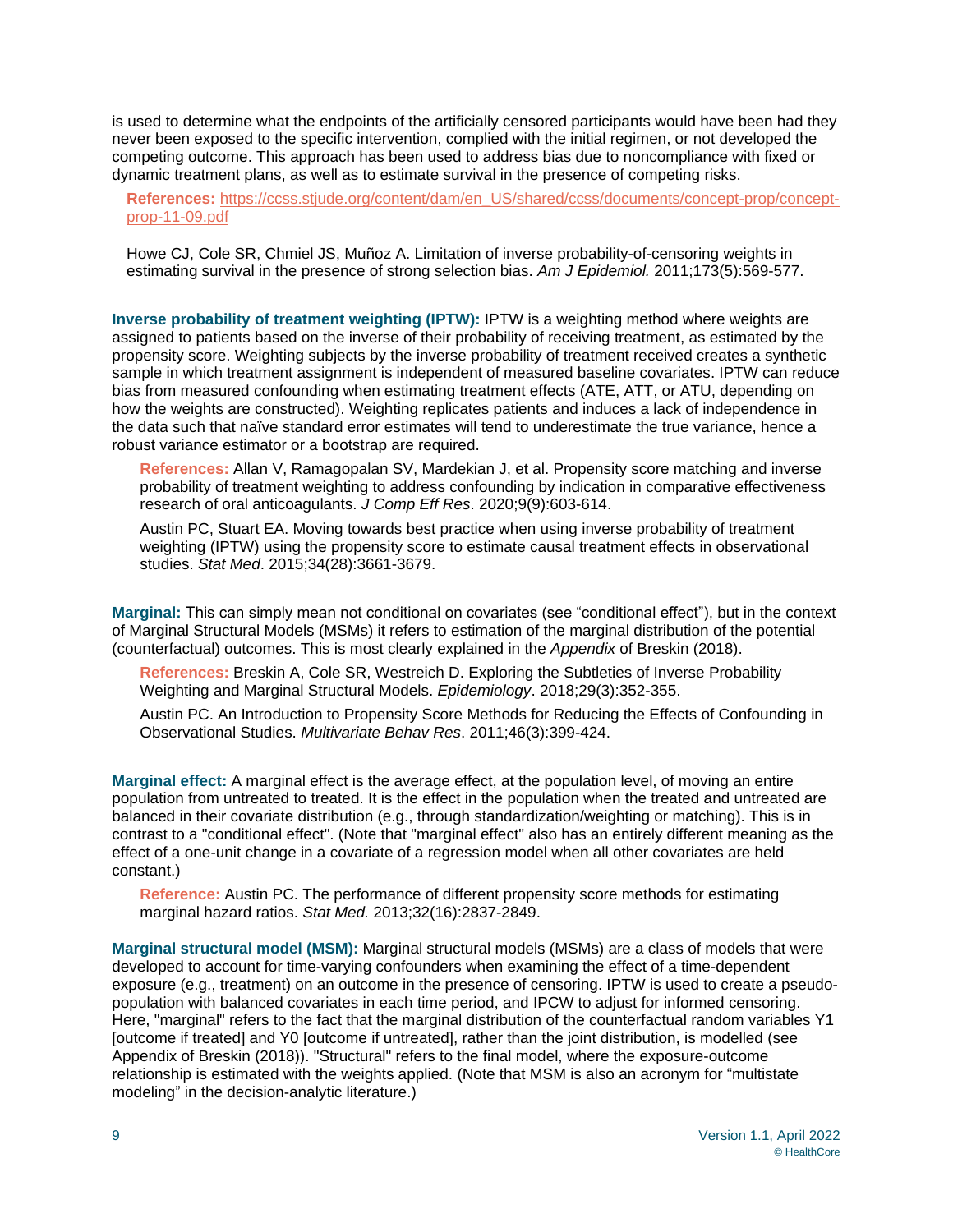is used to determine what the endpoints of the artificially censored participants would have been had they never been exposed to the specific intervention, complied with the initial regimen, or not developed the competing outcome. This approach has been used to address bias due to noncompliance with fixed or dynamic treatment plans, as well as to estimate survival in the presence of competing risks.

**References:** [https://ccss.stjude.org/content/dam/en\\_US/shared/ccss/documents/concept-prop/concept](https://ccss.stjude.org/content/dam/en_US/shared/ccss/documents/concept-prop/concept-prop-11-09.pdf)[prop-11-09.pdf](https://ccss.stjude.org/content/dam/en_US/shared/ccss/documents/concept-prop/concept-prop-11-09.pdf)

Howe CJ, Cole SR, Chmiel JS, Muñoz A. Limitation of inverse probability-of-censoring weights in estimating survival in the presence of strong selection bias. *Am J Epidemiol.* 2011;173(5):569-577.

**Inverse probability of treatment weighting (IPTW):** IPTW is a weighting method where weights are assigned to patients based on the inverse of their probability of receiving treatment, as estimated by the propensity score. Weighting subjects by the inverse probability of treatment received creates a synthetic sample in which treatment assignment is independent of measured baseline covariates. IPTW can reduce bias from measured confounding when estimating treatment effects (ATE, ATT, or ATU, depending on how the weights are constructed). Weighting replicates patients and induces a lack of independence in the data such that naïve standard error estimates will tend to underestimate the true variance, hence a robust variance estimator or a bootstrap are required.

**References:** Allan V, Ramagopalan SV, Mardekian J, et al. Propensity score matching and inverse probability of treatment weighting to address confounding by indication in comparative effectiveness research of oral anticoagulants. *J Comp Eff Res*. 2020;9(9):603-614.

Austin PC, Stuart EA. Moving towards best practice when using inverse probability of treatment weighting (IPTW) using the propensity score to estimate causal treatment effects in observational studies. *Stat Med*. 2015;34(28):3661-3679.

**Marginal:** This can simply mean not conditional on covariates (see "conditional effect"), but in the context of Marginal Structural Models (MSMs) it refers to estimation of the marginal distribution of the potential (counterfactual) outcomes. This is most clearly explained in the *Appendix* of Breskin (2018).

**References:** Breskin A, Cole SR, Westreich D. Exploring the Subtleties of Inverse Probability Weighting and Marginal Structural Models. *Epidemiology*. 2018;29(3):352-355.

Austin PC. An Introduction to Propensity Score Methods for Reducing the Effects of Confounding in Observational Studies. *Multivariate Behav Res*. 2011;46(3):399-424.

**Marginal effect:** A marginal effect is the average effect, at the population level, of moving an entire population from untreated to treated. It is the effect in the population when the treated and untreated are balanced in their covariate distribution (e.g., through standardization/weighting or matching). This is in contrast to a "conditional effect". (Note that "marginal effect" also has an entirely different meaning as the effect of a one-unit change in a covariate of a regression model when all other covariates are held constant.)

**Reference:** Austin PC. The performance of different propensity score methods for estimating marginal hazard ratios. *Stat Med.* 2013;32(16):2837-2849.

**Marginal structural model (MSM):** Marginal structural models (MSMs) are a class of models that were developed to account for time-varying confounders when examining the effect of a time-dependent exposure (e.g., treatment) on an outcome in the presence of censoring. IPTW is used to create a pseudopopulation with balanced covariates in each time period, and IPCW to adjust for informed censoring. Here, "marginal" refers to the fact that the marginal distribution of the counterfactual random variables Y1 [outcome if treated] and Y0 [outcome if untreated], rather than the joint distribution, is modelled (see Appendix of Breskin (2018)). "Structural" refers to the final model, where the exposure-outcome relationship is estimated with the weights applied. (Note that MSM is also an acronym for "multistate modeling" in the decision-analytic literature.)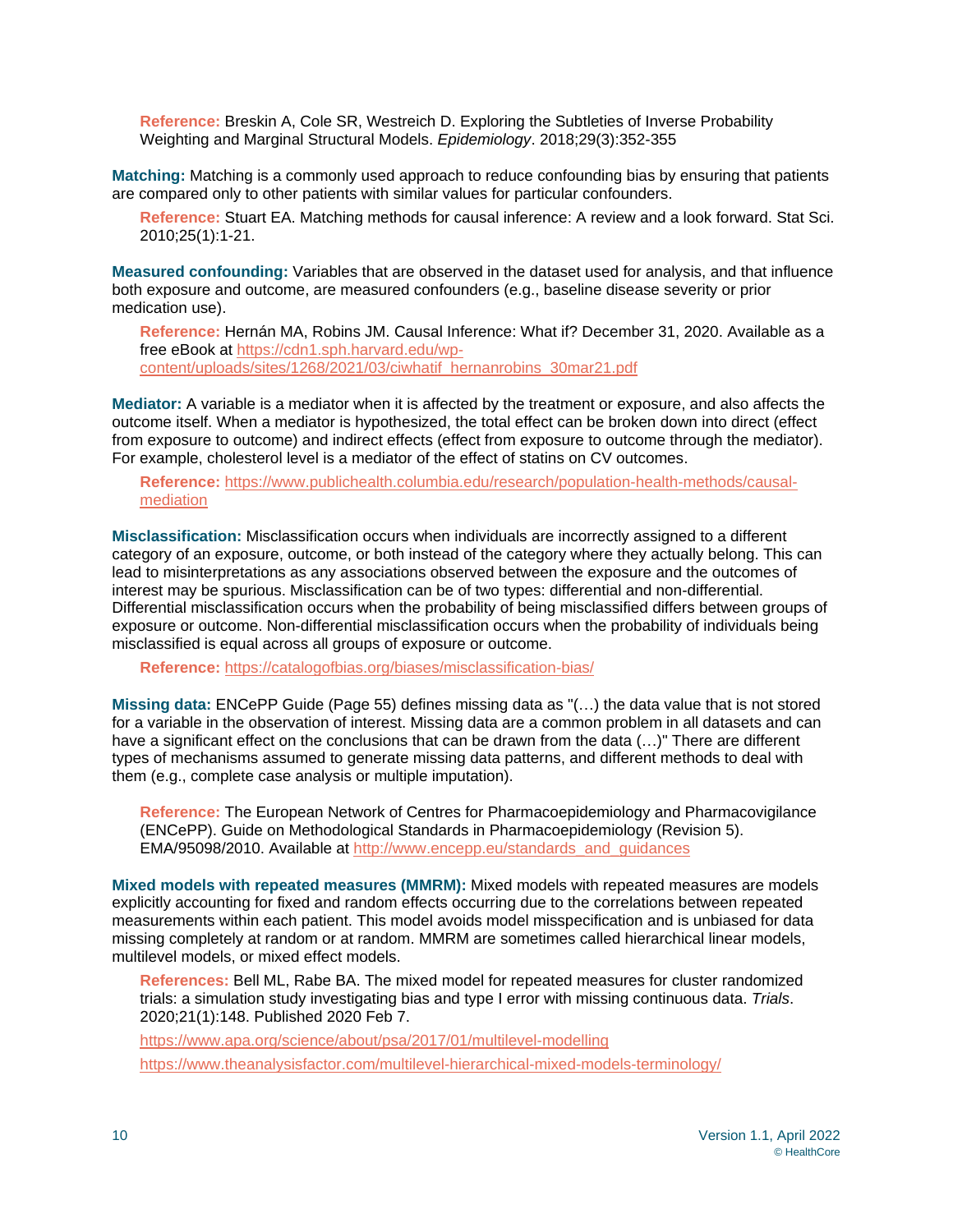**Reference:** Breskin A, Cole SR, Westreich D. Exploring the Subtleties of Inverse Probability Weighting and Marginal Structural Models. *Epidemiology*. 2018;29(3):352-355

**Matching:** Matching is a commonly used approach to reduce confounding bias by ensuring that patients are compared only to other patients with similar values for particular confounders.

**Reference:** Stuart EA. Matching methods for causal inference: A review and a look forward. Stat Sci. 2010;25(1):1-21.

**Measured confounding:** Variables that are observed in the dataset used for analysis, and that influence both exposure and outcome, are measured confounders (e.g., baseline disease severity or prior medication use).

**Reference:** Hernán MA, Robins JM. Causal Inference: What if? December 31, 2020. Available as a free eBook at [https://cdn1.sph.harvard.edu/wp](https://cdn1.sph.harvard.edu/wp-content/uploads/sites/1268/2021/03/ciwhatif_hernanrobins_30mar21.pdf)[content/uploads/sites/1268/2021/03/ciwhatif\\_hernanrobins\\_30mar21.pdf](https://cdn1.sph.harvard.edu/wp-content/uploads/sites/1268/2021/03/ciwhatif_hernanrobins_30mar21.pdf)

**Mediator:** A variable is a mediator when it is affected by the treatment or exposure, and also affects the outcome itself. When a mediator is hypothesized, the total effect can be broken down into direct (effect from exposure to outcome) and indirect effects (effect from exposure to outcome through the mediator). For example, cholesterol level is a mediator of the effect of statins on CV outcomes.

**Reference:** [https://www.publichealth.columbia.edu/research/population-health-methods/causal](https://www.publichealth.columbia.edu/research/population-health-methods/causal-mediation)[mediation](https://www.publichealth.columbia.edu/research/population-health-methods/causal-mediation)

**Misclassification:** Misclassification occurs when individuals are incorrectly assigned to a different category of an exposure, outcome, or both instead of the category where they actually belong. This can lead to misinterpretations as any associations observed between the exposure and the outcomes of interest may be spurious. Misclassification can be of two types: differential and non-differential. Differential misclassification occurs when the probability of being misclassified differs between groups of exposure or outcome. Non-differential misclassification occurs when the probability of individuals being misclassified is equal across all groups of exposure or outcome.

**Reference:** <https://catalogofbias.org/biases/misclassification-bias/>

**Missing data:** ENCePP Guide (Page 55) defines missing data as "(…) the data value that is not stored for a variable in the observation of interest. Missing data are a common problem in all datasets and can have a significant effect on the conclusions that can be drawn from the data (...)" There are different types of mechanisms assumed to generate missing data patterns, and different methods to deal with them (e.g., complete case analysis or multiple imputation).

**Reference:** The European Network of Centres for Pharmacoepidemiology and Pharmacovigilance (ENCePP). Guide on Methodological Standards in Pharmacoepidemiology (Revision 5). EMA/95098/2010. Available at [http://www.encepp.eu/standards\\_and\\_guidances](http://www.encepp.eu/standards_and_guidances)

**Mixed models with repeated measures (MMRM):** Mixed models with repeated measures are models explicitly accounting for fixed and random effects occurring due to the correlations between repeated measurements within each patient. This model avoids model misspecification and is unbiased for data missing completely at random or at random. MMRM are sometimes called hierarchical linear models, multilevel models, or mixed effect models.

**References:** Bell ML, Rabe BA. The mixed model for repeated measures for cluster randomized trials: a simulation study investigating bias and type I error with missing continuous data. *Trials*. 2020;21(1):148. Published 2020 Feb 7.

<https://www.apa.org/science/about/psa/2017/01/multilevel-modelling>

<https://www.theanalysisfactor.com/multilevel-hierarchical-mixed-models-terminology/>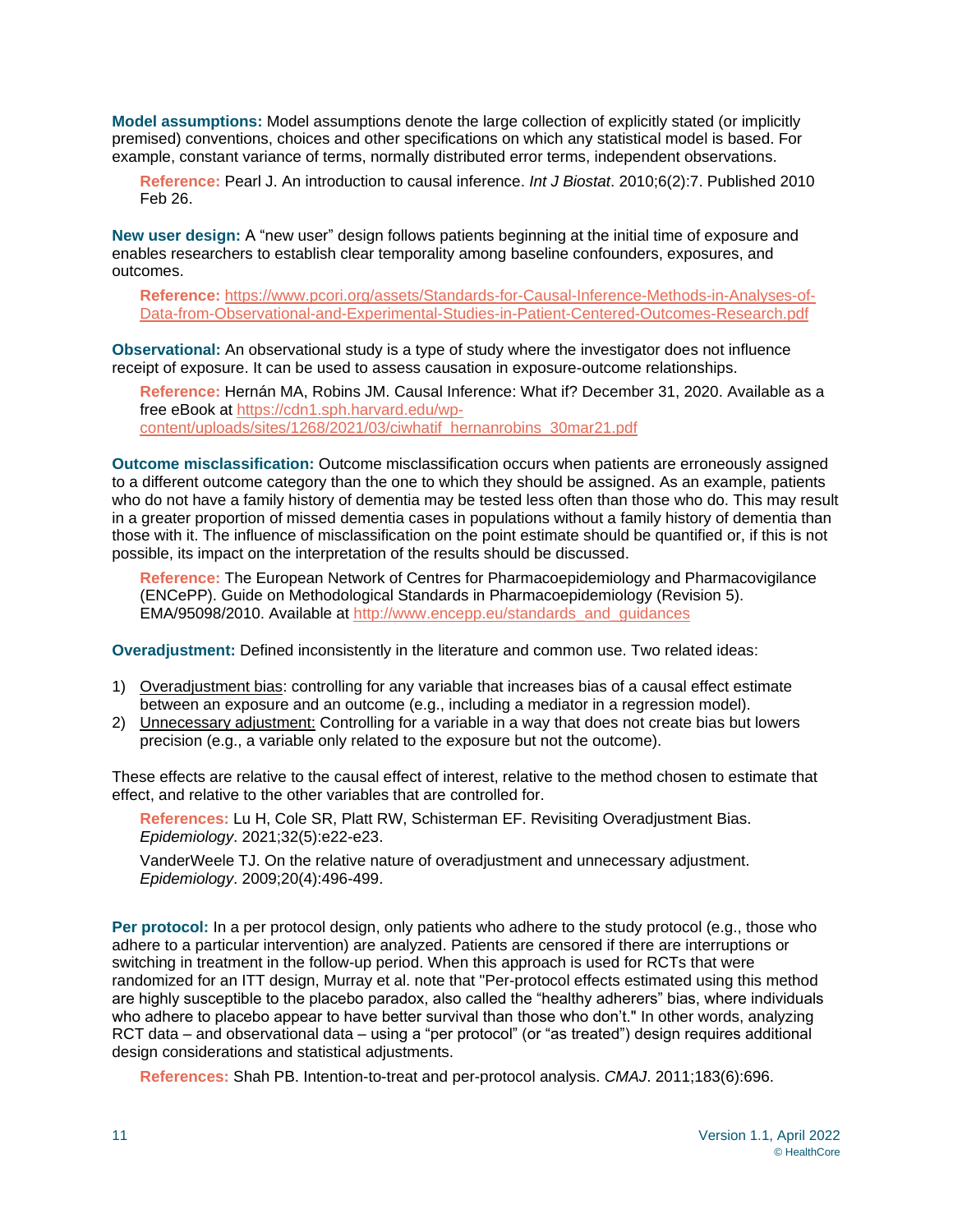**Model assumptions:** Model assumptions denote the large collection of explicitly stated (or implicitly premised) conventions, choices and other specifications on which any statistical model is based. For example, constant variance of terms, normally distributed error terms, independent observations.

**Reference:** Pearl J. An introduction to causal inference. *Int J Biostat*. 2010;6(2):7. Published 2010 Feb 26.

**New user design:** A "new user" design follows patients beginning at the initial time of exposure and enables researchers to establish clear temporality among baseline confounders, exposures, and outcomes.

**Reference:** [https://www.pcori.org/assets/Standards-for-Causal-Inference-Methods-in-Analyses-of-](https://www.pcori.org/assets/Standards-for-Causal-Inference-Methods-in-Analyses-of-Data-from-Observational-and-Experimental-Studies-in-Patient-Centered-Outcomes-Research.pdf)[Data-from-Observational-and-Experimental-Studies-in-Patient-Centered-Outcomes-Research.pdf](https://www.pcori.org/assets/Standards-for-Causal-Inference-Methods-in-Analyses-of-Data-from-Observational-and-Experimental-Studies-in-Patient-Centered-Outcomes-Research.pdf)

**Observational:** An observational study is a type of study where the investigator does not influence receipt of exposure. It can be used to assess causation in exposure-outcome relationships.

**Reference:** Hernán MA, Robins JM. Causal Inference: What if? December 31, 2020. Available as a free eBook at [https://cdn1.sph.harvard.edu/wp](https://cdn1.sph.harvard.edu/wp-content/uploads/sites/1268/2021/03/ciwhatif_hernanrobins_30mar21.pdf)[content/uploads/sites/1268/2021/03/ciwhatif\\_hernanrobins\\_30mar21.pdf](https://cdn1.sph.harvard.edu/wp-content/uploads/sites/1268/2021/03/ciwhatif_hernanrobins_30mar21.pdf)

**Outcome misclassification:** Outcome misclassification occurs when patients are erroneously assigned to a different outcome category than the one to which they should be assigned. As an example, patients who do not have a family history of dementia may be tested less often than those who do. This may result in a greater proportion of missed dementia cases in populations without a family history of dementia than those with it. The influence of misclassification on the point estimate should be quantified or, if this is not possible, its impact on the interpretation of the results should be discussed.

**Reference:** The European Network of Centres for Pharmacoepidemiology and Pharmacovigilance (ENCePP). Guide on Methodological Standards in Pharmacoepidemiology (Revision 5). EMA/95098/2010. Available at [http://www.encepp.eu/standards\\_and\\_guidances](http://www.encepp.eu/standards_and_guidances)

**Overadjustment:** Defined inconsistently in the literature and common use. Two related ideas:

- 1) Overadjustment bias: controlling for any variable that increases bias of a causal effect estimate between an exposure and an outcome (e.g., including a mediator in a regression model).
- 2) Unnecessary adjustment: Controlling for a variable in a way that does not create bias but lowers precision (e.g., a variable only related to the exposure but not the outcome).

These effects are relative to the causal effect of interest, relative to the method chosen to estimate that effect, and relative to the other variables that are controlled for.

**References:** Lu H, Cole SR, Platt RW, Schisterman EF. Revisiting Overadjustment Bias. *Epidemiology*. 2021;32(5):e22-e23.

VanderWeele TJ. On the relative nature of overadjustment and unnecessary adjustment. *Epidemiology*. 2009;20(4):496-499.

**Per protocol:** In a per protocol design, only patients who adhere to the study protocol (e.g., those who adhere to a particular intervention) are analyzed. Patients are censored if there are interruptions or switching in treatment in the follow-up period. When this approach is used for RCTs that were randomized for an ITT design, Murray et al. note that "Per-protocol effects estimated using this method are highly susceptible to the placebo paradox, also called the "healthy adherers" bias, where individuals who adhere to placebo appear to have better survival than those who don't." In other words, analyzing RCT data – and observational data – using a "per protocol" (or "as treated") design requires additional design considerations and statistical adjustments.

**References:** Shah PB. Intention-to-treat and per-protocol analysis. *CMAJ*. 2011;183(6):696.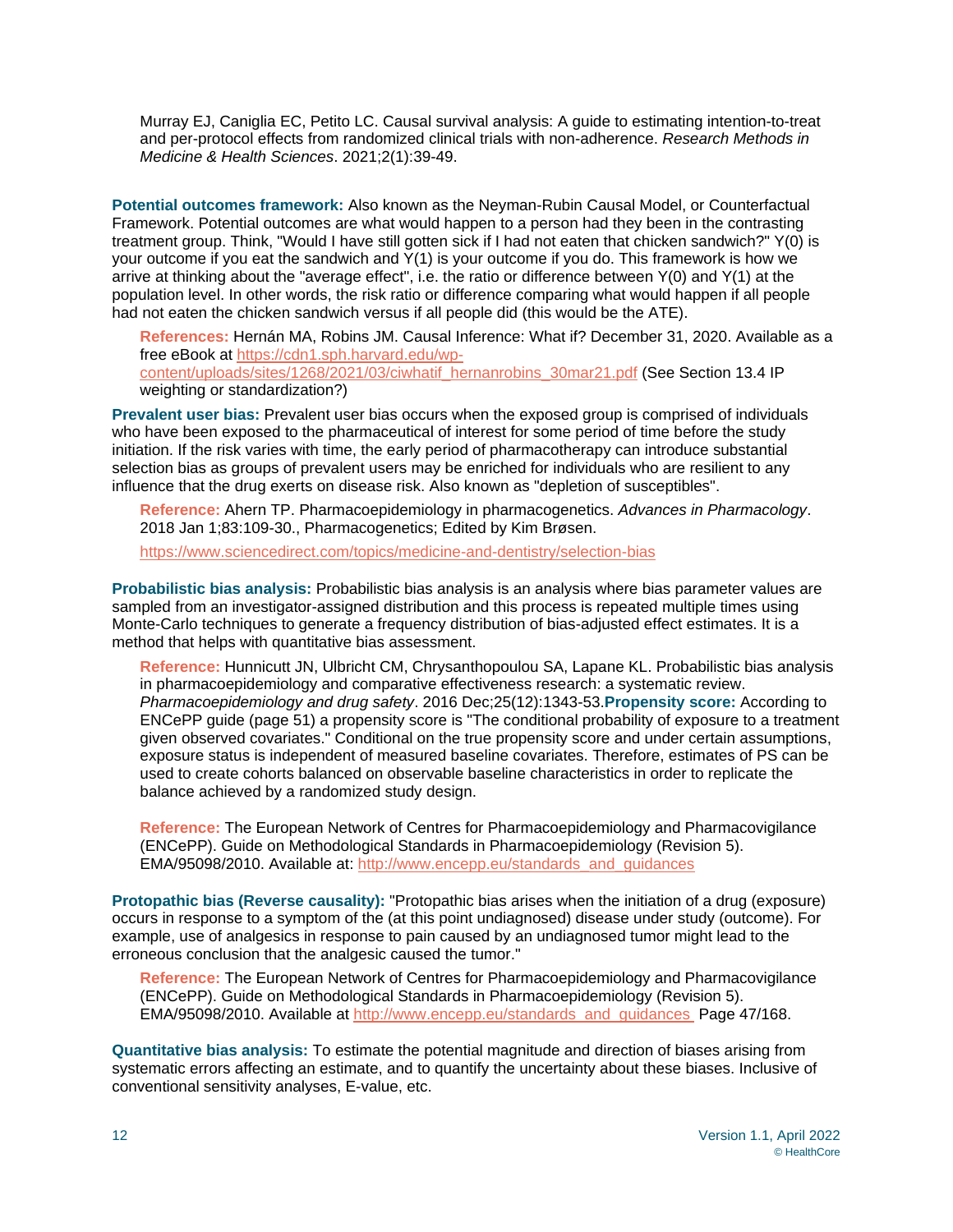Murray EJ, Caniglia EC, Petito LC. Causal survival analysis: A guide to estimating intention-to-treat and per-protocol effects from randomized clinical trials with non-adherence. *Research Methods in Medicine & Health Sciences*. 2021;2(1):39-49.

**Potential outcomes framework:** Also known as the Neyman-Rubin Causal Model, or Counterfactual Framework. Potential outcomes are what would happen to a person had they been in the contrasting treatment group. Think, "Would I have still gotten sick if I had not eaten that chicken sandwich?" Y(0) is your outcome if you eat the sandwich and Y(1) is your outcome if you do. This framework is how we arrive at thinking about the "average effect", i.e. the ratio or difference between Y(0) and Y(1) at the population level. In other words, the risk ratio or difference comparing what would happen if all people had not eaten the chicken sandwich versus if all people did (this would be the ATE).

**References:** Hernán MA, Robins JM. Causal Inference: What if? December 31, 2020. Available as a free eBook at [https://cdn1.sph.harvard.edu/wp](https://cdn1.sph.harvard.edu/wp-content/uploads/sites/1268/2021/03/ciwhatif_hernanrobins_30mar21.pdf)[content/uploads/sites/1268/2021/03/ciwhatif\\_hernanrobins\\_30mar21.pdf](https://cdn1.sph.harvard.edu/wp-content/uploads/sites/1268/2021/03/ciwhatif_hernanrobins_30mar21.pdf) (See Section 13.4 IP weighting or standardization?)

**Prevalent user bias:** Prevalent user bias occurs when the exposed group is comprised of individuals who have been exposed to the pharmaceutical of interest for some period of time before the study initiation. If the risk varies with time, the early period of pharmacotherapy can introduce substantial selection bias as groups of prevalent users may be enriched for individuals who are resilient to any influence that the drug exerts on disease risk. Also known as "depletion of susceptibles".

**Reference:** Ahern TP. Pharmacoepidemiology in pharmacogenetics. *Advances in Pharmacology*. 2018 Jan 1;83:109-30., Pharmacogenetics; Edited by Kim Brøsen.

<https://www.sciencedirect.com/topics/medicine-and-dentistry/selection-bias>

**Probabilistic bias analysis:** Probabilistic bias analysis is an analysis where bias parameter values are sampled from an investigator-assigned distribution and this process is repeated multiple times using Monte-Carlo techniques to generate a frequency distribution of bias-adjusted effect estimates. It is a method that helps with quantitative bias assessment.

**Reference:** Hunnicutt JN, Ulbricht CM, Chrysanthopoulou SA, Lapane KL. Probabilistic bias analysis in pharmacoepidemiology and comparative effectiveness research: a systematic review. *Pharmacoepidemiology and drug safety*. 2016 Dec;25(12):1343-53.**Propensity score:** According to ENCePP guide (page 51) a propensity score is "The conditional probability of exposure to a treatment given observed covariates." Conditional on the true propensity score and under certain assumptions, exposure status is independent of measured baseline covariates. Therefore, estimates of PS can be used to create cohorts balanced on observable baseline characteristics in order to replicate the balance achieved by a randomized study design.

**Reference:** The European Network of Centres for Pharmacoepidemiology and Pharmacovigilance (ENCePP). Guide on Methodological Standards in Pharmacoepidemiology (Revision 5). EMA/95098/2010. Available at: [http://www.encepp.eu/standards\\_and\\_guidances](http://www.encepp.eu/standards_and_guidances)

**Protopathic bias (Reverse causality):** "Protopathic bias arises when the initiation of a drug (exposure) occurs in response to a symptom of the (at this point undiagnosed) disease under study (outcome). For example, use of analgesics in response to pain caused by an undiagnosed tumor might lead to the erroneous conclusion that the analgesic caused the tumor."

**Reference:** The European Network of Centres for Pharmacoepidemiology and Pharmacovigilance (ENCePP). Guide on Methodological Standards in Pharmacoepidemiology (Revision 5). EMA/95098/2010. Available at [http://www.encepp.eu/standards\\_and\\_guidances](http://www.encepp.eu/standards_and_guidances) Page 47/168.

**Quantitative bias analysis:** To estimate the potential magnitude and direction of biases arising from systematic errors affecting an estimate, and to quantify the uncertainty about these biases. Inclusive of conventional sensitivity analyses, E-value, etc.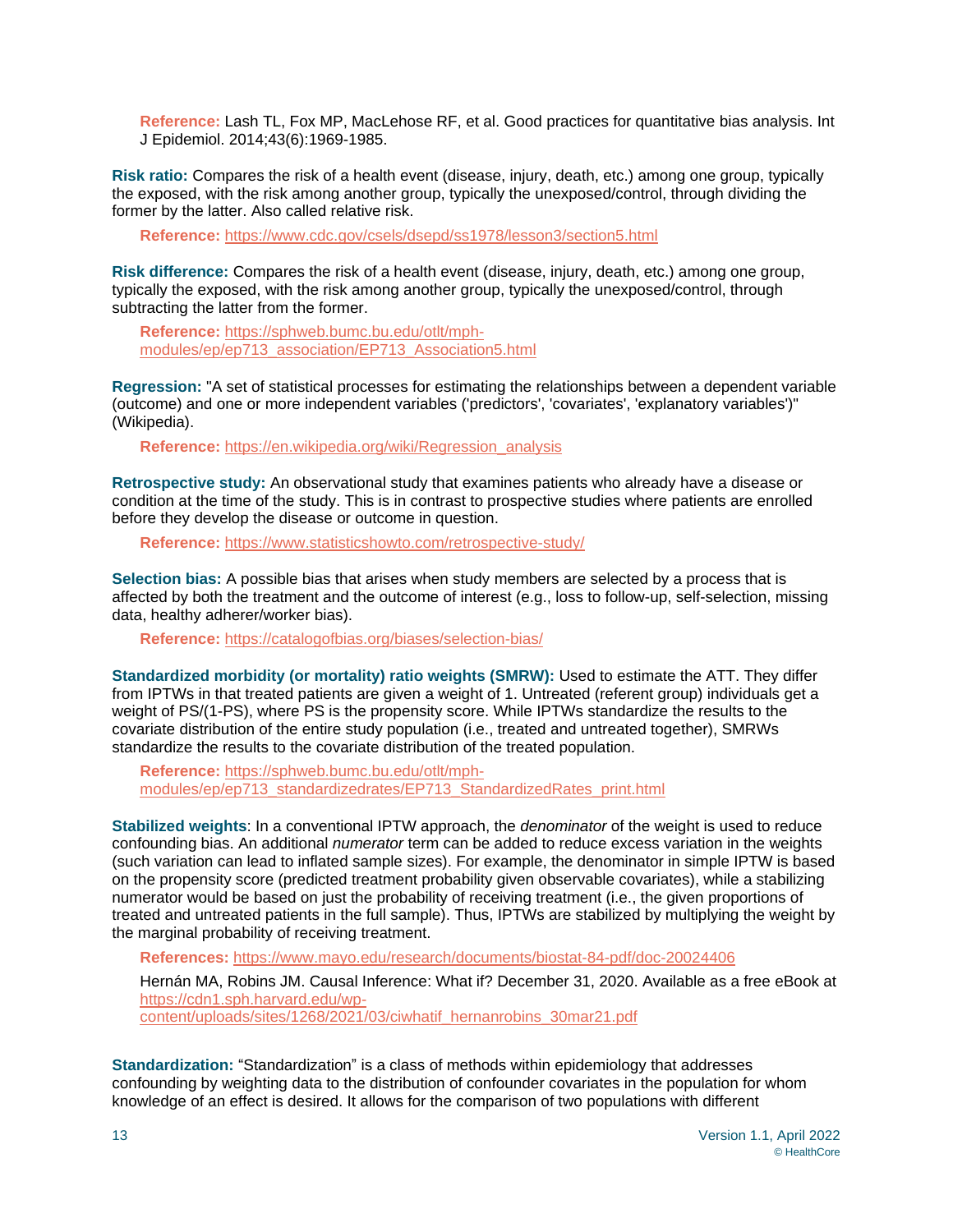**Reference:** Lash TL, Fox MP, MacLehose RF, et al. Good practices for quantitative bias analysis. Int J Epidemiol. 2014;43(6):1969-1985.

**Risk ratio:** Compares the risk of a health event (disease, injury, death, etc.) among one group, typically the exposed, with the risk among another group, typically the unexposed/control, through dividing the former by the latter. Also called relative risk.

**Reference:** <https://www.cdc.gov/csels/dsepd/ss1978/lesson3/section5.html>

**Risk difference:** Compares the risk of a health event (disease, injury, death, etc.) among one group, typically the exposed, with the risk among another group, typically the unexposed/control, through subtracting the latter from the former.

**Reference:** [https://sphweb.bumc.bu.edu/otlt/mph](https://sphweb.bumc.bu.edu/otlt/mph-modules/ep/ep713_association/EP713_Association5.html)[modules/ep/ep713\\_association/EP713\\_Association5.html](https://sphweb.bumc.bu.edu/otlt/mph-modules/ep/ep713_association/EP713_Association5.html) 

**Regression:** "A set of statistical processes for estimating the relationships between a dependent variable (outcome) and one or more independent variables ('predictors', 'covariates', 'explanatory variables')" (Wikipedia).

**Reference:** [https://en.wikipedia.org/wiki/Regression\\_analysis](https://en.wikipedia.org/wiki/Regression_analysis)

**Retrospective study:** An observational study that examines patients who already have a disease or condition at the time of the study. This is in contrast to prospective studies where patients are enrolled before they develop the disease or outcome in question.

**Reference:** <https://www.statisticshowto.com/retrospective-study/>

**Selection bias:** A possible bias that arises when study members are selected by a process that is affected by both the treatment and the outcome of interest (e.g., loss to follow-up, self-selection, missing data, healthy adherer/worker bias).

**Reference:** <https://catalogofbias.org/biases/selection-bias/>

**Standardized morbidity (or mortality) ratio weights (SMRW):** Used to estimate the ATT. They differ from IPTWs in that treated patients are given a weight of 1. Untreated (referent group) individuals get a weight of PS/(1-PS), where PS is the propensity score. While IPTWs standardize the results to the covariate distribution of the entire study population (i.e., treated and untreated together), SMRWs standardize the results to the covariate distribution of the treated population.

**Reference:** [https://sphweb.bumc.bu.edu/otlt/mph](https://sphweb.bumc.bu.edu/otlt/mph-modules/ep/ep713_standardizedrates/EP713_StandardizedRates_print.html)[modules/ep/ep713\\_standardizedrates/EP713\\_StandardizedRates\\_print.html](https://sphweb.bumc.bu.edu/otlt/mph-modules/ep/ep713_standardizedrates/EP713_StandardizedRates_print.html)

**Stabilized weights**: In a conventional IPTW approach, the *denominator* of the weight is used to reduce confounding bias. An additional *numerator* term can be added to reduce excess variation in the weights (such variation can lead to inflated sample sizes). For example, the denominator in simple IPTW is based on the propensity score (predicted treatment probability given observable covariates), while a stabilizing numerator would be based on just the probability of receiving treatment (i.e., the given proportions of treated and untreated patients in the full sample). Thus, IPTWs are stabilized by multiplying the weight by the marginal probability of receiving treatment.

**References:** <https://www.mayo.edu/research/documents/biostat-84-pdf/doc-20024406>

Hernán MA, Robins JM. Causal Inference: What if? December 31, 2020. Available as a free eBook at [https://cdn1.sph.harvard.edu/wp-](https://cdn1.sph.harvard.edu/wp-content/uploads/sites/1268/2021/03/ciwhatif_hernanrobins_30mar21.pdf)

[content/uploads/sites/1268/2021/03/ciwhatif\\_hernanrobins\\_30mar21.pdf](https://cdn1.sph.harvard.edu/wp-content/uploads/sites/1268/2021/03/ciwhatif_hernanrobins_30mar21.pdf)

**Standardization:** "Standardization" is a class of methods within epidemiology that addresses confounding by weighting data to the distribution of confounder covariates in the population for whom knowledge of an effect is desired. It allows for the comparison of two populations with different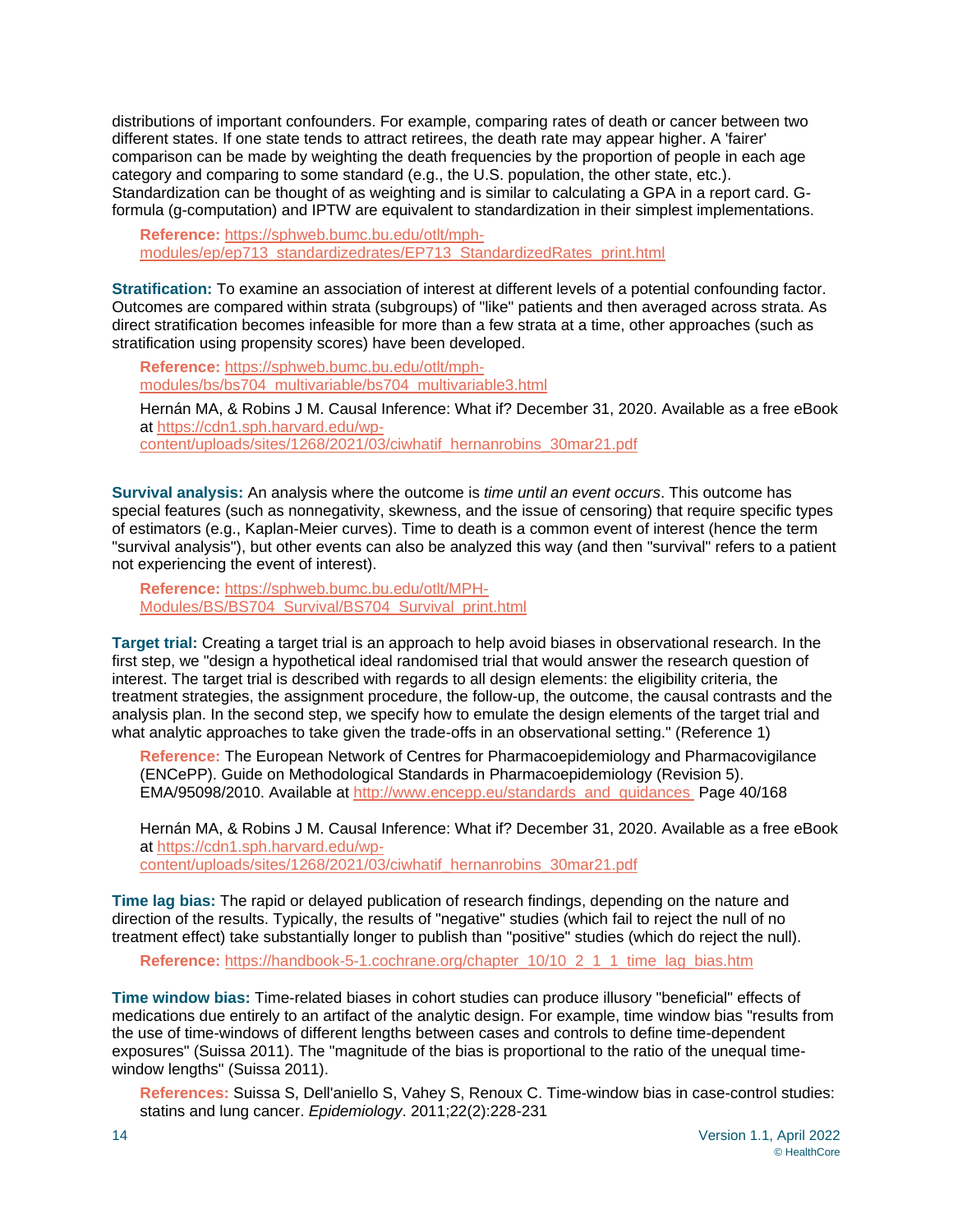distributions of important confounders. For example, comparing rates of death or cancer between two different states. If one state tends to attract retirees, the death rate may appear higher. A 'fairer' comparison can be made by weighting the death frequencies by the proportion of people in each age category and comparing to some standard (e.g., the U.S. population, the other state, etc.). Standardization can be thought of as weighting and is similar to calculating a GPA in a report card. Gformula (g-computation) and IPTW are equivalent to standardization in their simplest implementations.

**Reference:** [https://sphweb.bumc.bu.edu/otlt/mph](https://sphweb.bumc.bu.edu/otlt/mph-modules/ep/ep713_standardizedrates/EP713_StandardizedRates_print.html)[modules/ep/ep713\\_standardizedrates/EP713\\_StandardizedRates\\_print.html](https://sphweb.bumc.bu.edu/otlt/mph-modules/ep/ep713_standardizedrates/EP713_StandardizedRates_print.html)

**Stratification:** To examine an association of interest at different levels of a potential confounding factor. Outcomes are compared within strata (subgroups) of "like" patients and then averaged across strata. As direct stratification becomes infeasible for more than a few strata at a time, other approaches (such as stratification using propensity scores) have been developed.

**Reference:** [https://sphweb.bumc.bu.edu/otlt/mph](https://sphweb.bumc.bu.edu/otlt/mph-modules/bs/bs704_multivariable/bs704_multivariable3.html)[modules/bs/bs704\\_multivariable/bs704\\_multivariable3.html](https://sphweb.bumc.bu.edu/otlt/mph-modules/bs/bs704_multivariable/bs704_multivariable3.html)

Hernán MA, & Robins J M. Causal Inference: What if? December 31, 2020. Available as a free eBook at [https://cdn1.sph.harvard.edu/wp](https://cdn1.sph.harvard.edu/wp-content/uploads/sites/1268/2021/03/ciwhatif_hernanrobins_30mar21.pdf)[content/uploads/sites/1268/2021/03/ciwhatif\\_hernanrobins\\_30mar21.pdf](https://cdn1.sph.harvard.edu/wp-content/uploads/sites/1268/2021/03/ciwhatif_hernanrobins_30mar21.pdf)

**Survival analysis:** An analysis where the outcome is *time until an event occurs*. This outcome has special features (such as nonnegativity, skewness, and the issue of censoring) that require specific types of estimators (e.g., Kaplan-Meier curves). Time to death is a common event of interest (hence the term "survival analysis"), but other events can also be analyzed this way (and then "survival" refers to a patient not experiencing the event of interest).

**Reference:** [https://sphweb.bumc.bu.edu/otlt/MPH-](https://sphweb.bumc.bu.edu/otlt/MPH-Modules/BS/BS704_Survival/BS704_Survival_print.html)[Modules/BS/BS704\\_Survival/BS704\\_Survival\\_print.html](https://sphweb.bumc.bu.edu/otlt/MPH-Modules/BS/BS704_Survival/BS704_Survival_print.html)

**Target trial:** Creating a target trial is an approach to help avoid biases in observational research. In the first step, we "design a hypothetical ideal randomised trial that would answer the research question of interest. The target trial is described with regards to all design elements: the eligibility criteria, the treatment strategies, the assignment procedure, the follow-up, the outcome, the causal contrasts and the analysis plan. In the second step, we specify how to emulate the design elements of the target trial and what analytic approaches to take given the trade-offs in an observational setting." (Reference 1)

**Reference:** The European Network of Centres for Pharmacoepidemiology and Pharmacovigilance (ENCePP). Guide on Methodological Standards in Pharmacoepidemiology (Revision 5). EMA/95098/2010. Available at [http://www.encepp.eu/standards\\_and\\_guidances](http://www.encepp.eu/standards_and_guidances)\_Page 40/168

Hernán MA, & Robins J M. Causal Inference: What if? December 31, 2020. Available as a free eBook at [https://cdn1.sph.harvard.edu/wp](https://cdn1.sph.harvard.edu/wp-content/uploads/sites/1268/2021/03/ciwhatif_hernanrobins_30mar21.pdf)[content/uploads/sites/1268/2021/03/ciwhatif\\_hernanrobins\\_30mar21.pdf](https://cdn1.sph.harvard.edu/wp-content/uploads/sites/1268/2021/03/ciwhatif_hernanrobins_30mar21.pdf)

**Time lag bias:** The rapid or delayed publication of research findings, depending on the nature and direction of the results. Typically, the results of "negative" studies (which fail to reject the null of no treatment effect) take substantially longer to publish than "positive" studies (which do reject the null).

**Reference:** [https://handbook-5-1.cochrane.org/chapter\\_10/10\\_2\\_1\\_1\\_time\\_lag\\_bias.htm](https://handbook-5-1.cochrane.org/chapter_10/10_2_1_1_time_lag_bias.htm) 

**Time window bias:** Time-related biases in cohort studies can produce illusory "beneficial" effects of medications due entirely to an artifact of the analytic design. For example, time window bias "results from the use of time-windows of different lengths between cases and controls to define time-dependent exposures" (Suissa 2011). The "magnitude of the bias is proportional to the ratio of the unequal timewindow lengths" (Suissa 2011).

**References:** Suissa S, Dell'aniello S, Vahey S, Renoux C. Time-window bias in case-control studies: statins and lung cancer. *Epidemiology*. 2011;22(2):228-231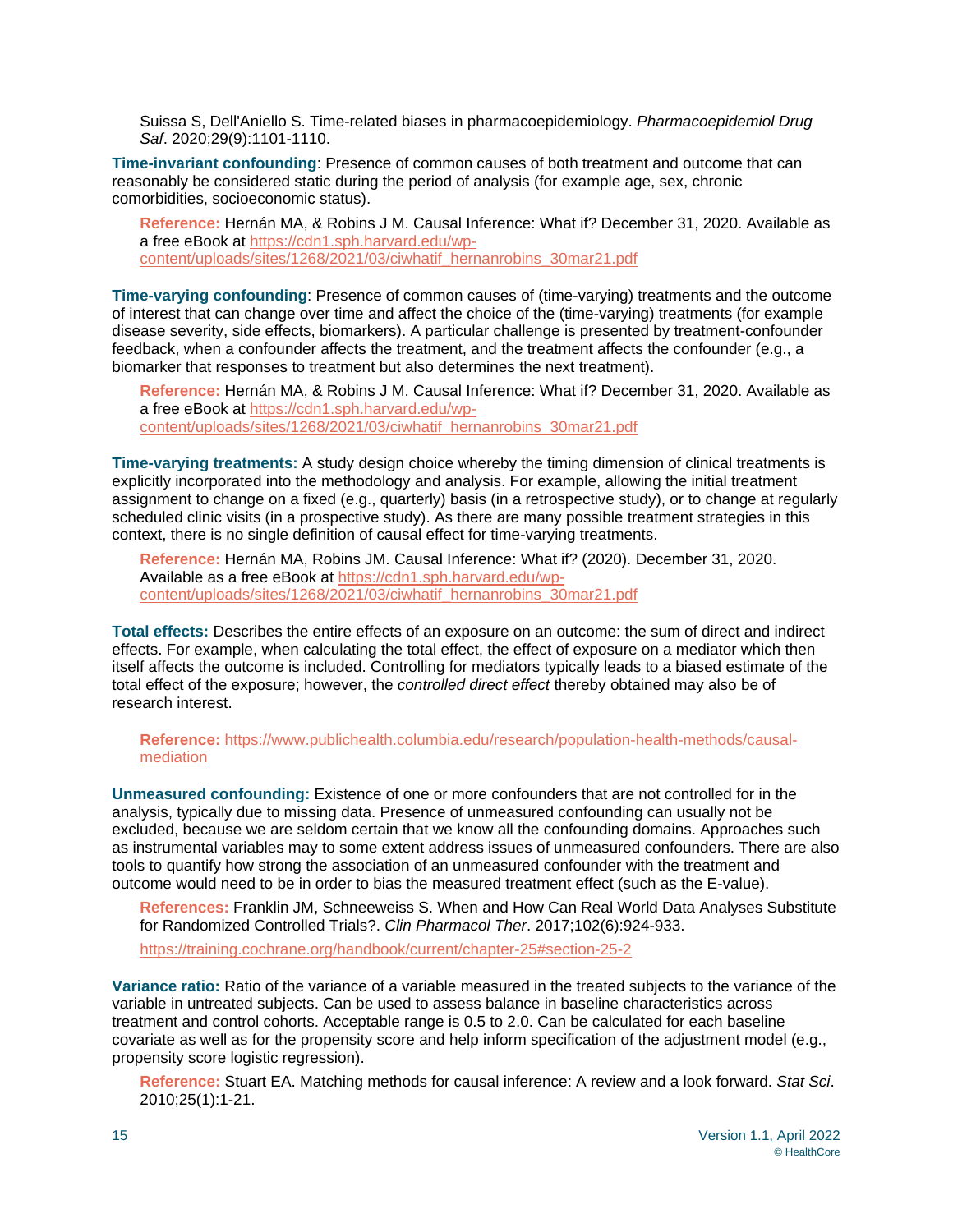Suissa S, Dell'Aniello S. Time-related biases in pharmacoepidemiology. *Pharmacoepidemiol Drug Saf*. 2020;29(9):1101-1110.

**Time-invariant confounding**: Presence of common causes of both treatment and outcome that can reasonably be considered static during the period of analysis (for example age, sex, chronic comorbidities, socioeconomic status).

**Reference:** Hernán MA, & Robins J M. Causal Inference: What if? December 31, 2020. Available as a free eBook at [https://cdn1.sph.harvard.edu/wp](https://cdn1.sph.harvard.edu/wp-content/uploads/sites/1268/2021/03/ciwhatif_hernanrobins_30mar21.pdf)[content/uploads/sites/1268/2021/03/ciwhatif\\_hernanrobins\\_30mar21.pdf](https://cdn1.sph.harvard.edu/wp-content/uploads/sites/1268/2021/03/ciwhatif_hernanrobins_30mar21.pdf)

**Time-varying confounding**: Presence of common causes of (time-varying) treatments and the outcome of interest that can change over time and affect the choice of the (time-varying) treatments (for example disease severity, side effects, biomarkers). A particular challenge is presented by treatment-confounder feedback, when a confounder affects the treatment, and the treatment affects the confounder (e.g., a biomarker that responses to treatment but also determines the next treatment).

**Reference:** Hernán MA, & Robins J M. Causal Inference: What if? December 31, 2020. Available as a free eBook at [https://cdn1.sph.harvard.edu/wp](https://cdn1.sph.harvard.edu/wp-content/uploads/sites/1268/2021/03/ciwhatif_hernanrobins_30mar21.pdf)[content/uploads/sites/1268/2021/03/ciwhatif\\_hernanrobins\\_30mar21.pdf](https://cdn1.sph.harvard.edu/wp-content/uploads/sites/1268/2021/03/ciwhatif_hernanrobins_30mar21.pdf)

**Time-varying treatments:** A study design choice whereby the timing dimension of clinical treatments is explicitly incorporated into the methodology and analysis. For example, allowing the initial treatment assignment to change on a fixed (e.g., quarterly) basis (in a retrospective study), or to change at regularly scheduled clinic visits (in a prospective study). As there are many possible treatment strategies in this context, there is no single definition of causal effect for time-varying treatments.

**Reference:** Hernán MA, Robins JM. Causal Inference: What if? (2020). December 31, 2020. Available as a free eBook at [https://cdn1.sph.harvard.edu/wp](https://cdn1.sph.harvard.edu/wp-content/uploads/sites/1268/2021/03/ciwhatif_hernanrobins_30mar21.pdf)[content/uploads/sites/1268/2021/03/ciwhatif\\_hernanrobins\\_30mar21.pdf](https://cdn1.sph.harvard.edu/wp-content/uploads/sites/1268/2021/03/ciwhatif_hernanrobins_30mar21.pdf)

**Total effects:** Describes the entire effects of an exposure on an outcome: the sum of direct and indirect effects. For example, when calculating the total effect, the effect of exposure on a mediator which then itself affects the outcome is included. Controlling for mediators typically leads to a biased estimate of the total effect of the exposure; however, the *controlled direct effect* thereby obtained may also be of research interest.

**Reference:** [https://www.publichealth.columbia.edu/research/population-health-methods/causal](https://www.publichealth.columbia.edu/research/population-health-methods/causal-mediation)[mediation](https://www.publichealth.columbia.edu/research/population-health-methods/causal-mediation)

**Unmeasured confounding:** Existence of one or more confounders that are not controlled for in the analysis, typically due to missing data. Presence of unmeasured confounding can usually not be excluded, because we are seldom certain that we know all the confounding domains. Approaches such as instrumental variables may to some extent address issues of unmeasured confounders. There are also tools to quantify how strong the association of an unmeasured confounder with the treatment and outcome would need to be in order to bias the measured treatment effect (such as the E-value).

**References:** Franklin JM, Schneeweiss S. When and How Can Real World Data Analyses Substitute for Randomized Controlled Trials?. *Clin Pharmacol Ther*. 2017;102(6):924-933.

<https://training.cochrane.org/handbook/current/chapter-25#section-25-2>

**Variance ratio:** Ratio of the variance of a variable measured in the treated subjects to the variance of the variable in untreated subjects. Can be used to assess balance in baseline characteristics across treatment and control cohorts. Acceptable range is 0.5 to 2.0. Can be calculated for each baseline covariate as well as for the propensity score and help inform specification of the adjustment model (e.g., propensity score logistic regression).

**Reference:** Stuart EA. Matching methods for causal inference: A review and a look forward. *Stat Sci*. 2010;25(1):1-21.